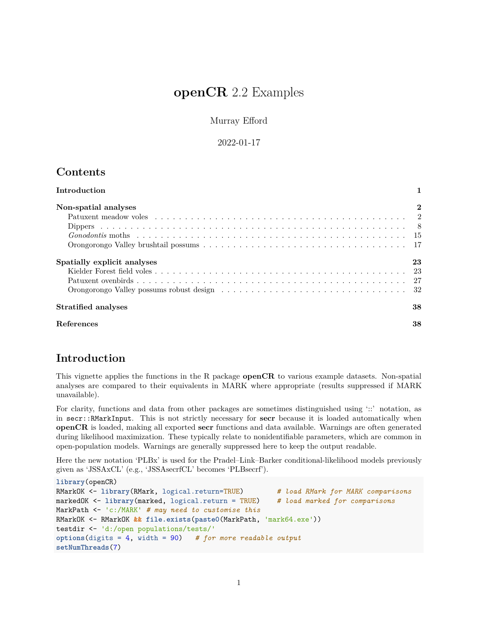# **openCR** 2.2 Examples

Murray Efford

2022-01-17

## **Contents**

| Introduction                |                  |
|-----------------------------|------------------|
| Non-spatial analyses        | $\boldsymbol{2}$ |
|                             |                  |
|                             |                  |
|                             |                  |
|                             |                  |
| Spatially explicit analyses | 23               |
|                             |                  |
|                             |                  |
|                             |                  |
| Stratified analyses         | 38               |
| <b>References</b>           | 38               |

## <span id="page-0-0"></span>**Introduction**

This vignette applies the functions in the R package **openCR** to various example datasets. Non-spatial analyses are compared to their equivalents in MARK where appropriate (results suppressed if MARK unavailable).

For clarity, functions and data from other packages are sometimes distinguished using '::' notation, as in secr::RMarkInput. This is not strictly necessary for **secr** because it is loaded automatically when **openCR** is loaded, making all exported **secr** functions and data available. Warnings are often generated during likelihood maximization. These typically relate to nonidentifiable parameters, which are common in open-population models. Warnings are generally suppressed here to keep the output readable.

Here the new notation 'PLBx' is used for the Pradel–Link–Barker conditional-likelihood models previously given as 'JSSAxCL' (e.g., 'JSSAsecrfCL' becomes 'PLBsecrf').

```
library(openCR)
RMarkOK <- library(RMark, logical.return=TRUE) # load RMark for MARK comparisons
markedOK <- library(marked, logical.return = TRUE) # load marked for comparisons
MarkPath <- 'c:/MARK' # may need to customise this
RMarkOK <- RMarkOK && file.exists(paste0(MarkPath, 'mark64.exe'))
testdir <- 'd:/open populations/tests/'
options(digits = 4, width = 90) # for more readable output
setNumThreads(7)
```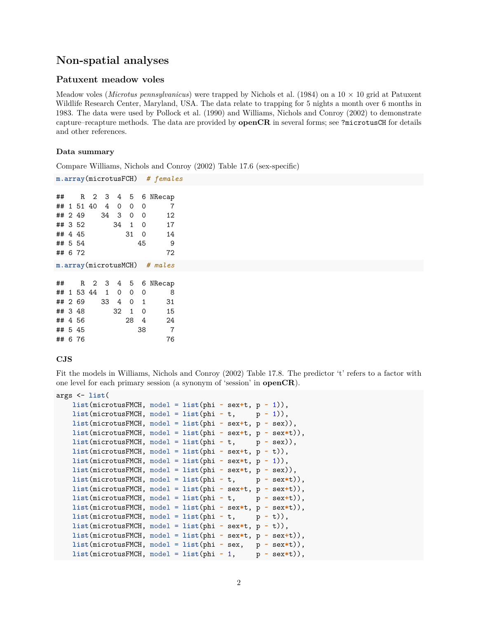## <span id="page-1-0"></span>**Non-spatial analyses**

### <span id="page-1-1"></span>**Patuxent meadow voles**

Meadow voles (*Microtus pennsylvanicus*) were trapped by Nichols et al. (1984) on a 10 × 10 grid at Patuxent Wildlife Research Center, Maryland, USA. The data relate to trapping for 5 nights a month over 6 months in 1983. The data were used by Pollock et al. (1990) and Williams, Nichols and Conroy (2002) to demonstrate capture–recapture methods. The data are provided by **openCR** in several forms; see ?microtusCH for details and other references.

### **Data summary**

Compare [Williams, Nichols and Conroy \(2002\) Table 17.6](https://www.otago.ac.nz/density/png/WNCTab17.6.png) (sex-specific)

**m.array**(microtusFCH) *# females*

| ##      |            |        |    |          |              |          | R 2 3 4 5 6 NRecap           |
|---------|------------|--------|----|----------|--------------|----------|------------------------------|
|         | ## 1 51 40 |        | 4  | $\Omega$ | $\Omega$     | 0        | 7                            |
|         | ## 2 49    |        | 34 | 3        | $\Omega$     | $\Omega$ | 12                           |
| ## 3 52 |            |        |    | 34       | $\mathbf{1}$ | $\Omega$ | 17                           |
|         | ## 4 45    |        |    |          | 31           | $\Omega$ | 14                           |
| ## 5 54 |            |        |    |          |              | 45       | -9                           |
| ## 6 72 |            |        |    |          |              |          | 72                           |
|         |            |        |    |          |              |          | m.array(microtusMCH) # males |
| ++++    | D          | $\sim$ |    |          |              |          | 2 A E CNDoop                 |

|  |         |  | ## 1 53 44 1 0 0 |        | - 0 | 8   |
|--|---------|--|------------------|--------|-----|-----|
|  | ## 2 69 |  | 33 4 0 1         |        |     | 31  |
|  | ## 3 48 |  |                  | 32 1 0 |     | 15  |
|  | ## 4 56 |  |                  | 28 4   |     | 24  |
|  | ## 5 45 |  |                  |        | -38 | - 7 |
|  | ## 6 76 |  |                  |        |     | 76  |
|  |         |  |                  |        |     |     |

#### **CJS**

Fit the models in [Williams, Nichols and Conroy \(2002\) Table 17.8.](https://www.otago.ac.nz/density/png/WNCTab17.8.png) The predictor 't' refers to a factor with one level for each primary session (a synonym of 'session' in **openCR**).

```
args <- list(
   list(microtusFMCH, model = list(phi ~ sex+t, p ~ 1)),
   list(microtusFMCH, model = list(phi \cdot t, p \cdot 1)),list(microtusFMCH, model = list(phi ~ sex+t, p ~ sex)),
   list(microtusFMCH, model = list(phi ~ sex+t, p ~ sex*t)),
   list(microtusFMCH, model = list(phi ~ t, p ~ sex)),
   list(microtusFMCH, model = list(phi ~ sex+t, p ~ t)),
   list(microtusFMCH, model = list(phi ~ sex*t, p ~ 1)),
   list(microtusFMCH, model = list(phi ~ sex*t, p ~ sex)),
   list(microtusFMCH, model = list(phi * t, p * sex*t)),list(microtusFMCH, model = list(phi ~ sex+t, p ~ sex+t)),
   list(microtusFMCH, model = list(phi ~ t, p ~ sex+t)),
   list(microtusFMCH, model = list(phi ~ sex*t, p ~ sex*t)),
   list(microtusFMCH, model = list(phi * t, p * t)),list(microtusFMCH, model = list(phi ~ sex*t, p ~ t)),
   list(microtusFMCH, model = list(phi ~ sex*t, p ~ sex+t)),
   list(microtusFMCH, model = list(phi ~ sex, p ~ sex*t)),
   list(microtusFMCH, model = list(phi - 1, p - sex*t)),
```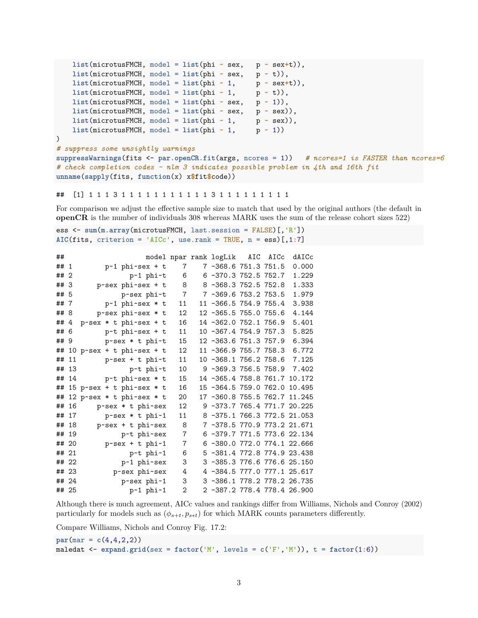```
list(microtusFMCH, model = list(phi ~ sex, p ~ sex+t)),
   list(microtusFMCH, model = list(phi ~ sex, p ~ t)),
   list(microtusFMCH, model = list(phi \sim 1, p \sim sex+t)),list(microtusFMCH, model = list(phi \sim 1, p \sim t)),list(microtusFMCH, model = list(phi ~ sex, p ~ 1)),
   list(microtusFMCH, model = list(phi ~ sex, p ~ sex)),
   list(microtusFMCH, model = list(phi - 1, p - sex)),list(microtusFMCH, model = list(phi ~ 1, p ~ 1))
)
# suppress some unsightly warnings
suppressWarnings(fits <- par.openCR.fit(args, ncores = 1)) # ncores=1 is FASTER than ncores=6
# check completion codes - nlm 3 indicates possible problem in 4th and 16th fit
unname(sapply(fits, function(x) x$fit$code))
```
## [1] 1 1 1 3 1 1 1 1 1 1 1 1 1 1 1 3 1 1 1 1 1 1 1 1 1

For comparison we adjust the effective sample size to match that used by the original authors (the default in **openCR** is the number of individuals 308 whereas MARK uses the sum of the release cohort sizes 522)

ess <- **sum**(**m.array**(microtusFMCH, last.session = FALSE)[,'R']) **AIC**(fits, criterion = 'AICc', use.rank = TRUE, n = ess)[,1**:**7]

```
## model npar rank logLik AIC AICc dAICc
## 1 p~1 phi~sex + t 7 7 -368.6 751.3 751.5 0.000
## 2 p~1 phi~t 6 6 -370.3 752.5 752.7 1.229
## 3 p~sex phi~sex + t 8 8 -368.3 752.5 752.8 1.333
## 5 p~sex phi~t 7 7 -369.6 753.2 753.5 1.979
## 7 p~1 phi~sex * t 11 11 -366.5 754.9 755.4 3.938
## 8 p~sex phi~sex * t 12 12 -365.5 755.0 755.6 4.144
## 4 p~sex * t phi~sex + t 16 14 -362.0 752.1 756.9 5.401
## 6 p~t phi~sex + t 11 10 -367.4 754.9 757.3 5.825
## 9 p~sex * t phi~t 15 12 -363.6 751.3 757.9 6.394
## 10 p~sex + t phi~sex + t 12 11 -366.9 755.7 758.3 6.772
## 11 p~sex + t phi~t 11 10 -368.1 756.2 758.6 7.125
## 13 p~t phi~t 10 9 -369.3 756.5 758.9 7.402
## 14 p~t phi~sex * t 15 14 -365.4 758.8 761.7 10.172
## 15 p~sex + t phi~sex * t 16 15 -364.5 759.0 762.0 10.495
## 12 p~sex * t phi~sex * t 20 17 -360.8 755.5 762.7 11.245
## 16 p~sex * t phi~sex 12 9 -373.7 765.4 771.7 20.225
## 17 p~sex * t phi~1 11 8 -375.1 766.3 772.5 21.053
## 18 p~sex + t phi~sex 8 7 -378.5 770.9 773.2 21.671
## 19 p~t phi~sex 7 6 -379.7 771.5 773.6 22.134
## 20 p~sex + t phi~1 7 6 -380.0 772.0 774.1 22.666
## 21 p~t phi~1 6 5 -381.4 772.8 774.9 23.438
## 22 p~1 phi~sex 3 3 -385.3 776.6 776.6 25.150
## 23 p~sex phi~sex 4 4 -384.5 777.0 777.1 25.617
## 24 p~sex phi~1 3 3 -386.1 778.2 778.2 26.735
## 25 p~1 phi~1 2 2 -387.2 778.4 778.4 26.900
```
Although there is much agreement, AICc values and rankings differ from Williams, Nichols and Conroy (2002) particularly for models such as  $(\phi_{s+t}, p_{s*t})$  for which MARK counts parameters differently.

Compare [Williams, Nichols and Conroy Fig. 17.2:](https://www.otago.ac.nz/density/png/WNCFig17.2.png)

```
par(max = c(4,4,2,2))maledat \leq expand.grid(sex = factor('M', levels = c('F','M')), t = factor(1:6))
```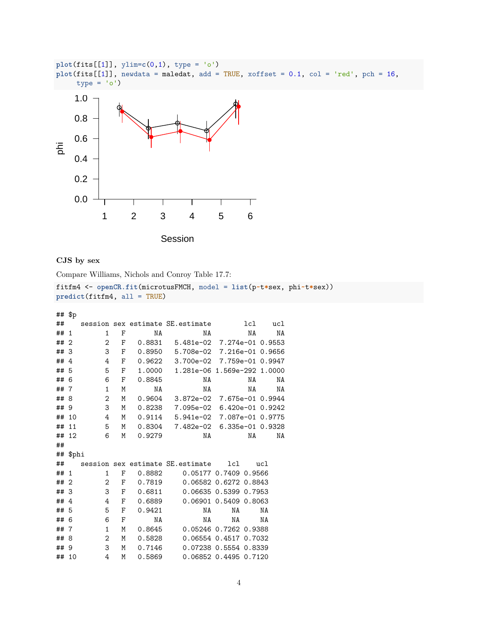

```
CJS by sex
```
Compare [Williams, Nichols and Conroy Table 17.7:](https://www.otago.ac.nz/density/png/WNCTab17.7.png)

```
fitfm4 <- openCR.fit(microtusFMCH, model = list(p~t*sex, phi~t*sex))
predict(fitfm4, all = TRUE)
```
## \$p

| ## |                |                |   |        | session sex estimate SE. estimate |                       | 1c1 | uc1              |
|----|----------------|----------------|---|--------|-----------------------------------|-----------------------|-----|------------------|
| ## | 1              | 1              | F | NA     | NA                                |                       | NA  | NA               |
| ## | $\overline{2}$ | $\overline{2}$ | F | 0.8831 | 5.481e-02 7.274e-01 0.9553        |                       |     |                  |
| ## | 3              | 3              | F | 0.8950 | 5.708e-02 7.216e-01 0.9656        |                       |     |                  |
| ## | 4              | 4              | F | 0.9622 | 3.700e-02 7.759e-01 0.9947        |                       |     |                  |
| ## | 5              | 5              | F | 1.0000 | 1.281e-06 1.569e-292 1.0000       |                       |     |                  |
| ## | 6              | 6              | F | 0.8845 | ΝA                                |                       | ΝA  | ΝA               |
| ## | 7              | $\mathbf{1}$   | M | NA     | ΝA                                |                       | ΝA  | NA               |
| ## | 8              | 2              | Μ | 0.9604 | $3.872e-02$                       |                       |     | 7.675e-01 0.9944 |
| ## | -9             | 3              | M | 0.8238 | 7.095e-02                         |                       |     | 6.420e-01 0.9242 |
| ## | 10             | 4              | M | 0.9114 | 5.941e-02                         | 7.087e-01 0.9775      |     |                  |
| ## | 11             | 5              | M | 0.8304 | 7.482e-02 6.335e-01 0.9328        |                       |     |                  |
| ## | 12             | 6              | M | 0.9279 | NA                                |                       | NA  | NA               |
| ## |                |                |   |        |                                   |                       |     |                  |
| ## | \$phi          |                |   |        |                                   |                       |     |                  |
| ## |                |                |   |        | session sex estimate SE. estimate | 1c1                   |     | ucl              |
| ## | 1              | 1              | F | 0.8882 | 0.05177 0.7409 0.9566             |                       |     |                  |
| ## | $\overline{2}$ | 2              | F | 0.7819 | 0.06582 0.6272 0.8843             |                       |     |                  |
| ## | 3              | 3              | F | 0.6811 | 0.06635 0.5399 0.7953             |                       |     |                  |
| ## | 4              | 4              | F | 0.6889 |                                   | 0.06901 0.5409 0.8063 |     |                  |
| ## | 5              | 5              | F | 0.9421 | NA                                | NA                    |     | NA               |
| ## | 6              | 6              | F | NA     | ΝA                                | NA                    |     | NA               |
| ## | 7              | 1              | M | 0.8645 | 0.05246 0.7262 0.9388             |                       |     |                  |
| ## | 8              | 2              | M | 0.5828 |                                   | 0.06554 0.4517 0.7032 |     |                  |
| ## | 9              | 3              | M | 0.7146 | 0.07238 0.5554 0.8339             |                       |     |                  |
| ## | 10             | 4              | M | 0.5869 |                                   | 0.06852 0.4495 0.7120 |     |                  |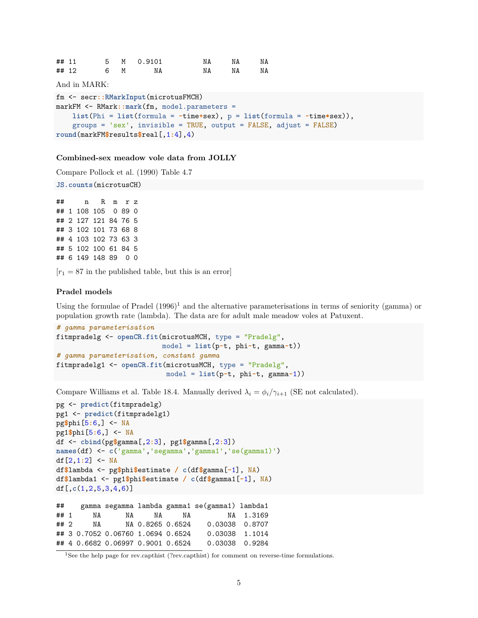| ## 11 |    | 5 M 0.9101 |       | NA | NA |
|-------|----|------------|-------|----|----|
| ## 12 | 6M | NA         | NA NA |    | NA |

And in MARK:

```
fm <- secr::RMarkInput(microtusFMCH)
markFM <- RMark::mark(fm, model.parameters =
   list(Phi = list(formula = ~time+sex), p = list(formula = ~time*sex)),
    groups = 'sex', invisible = TRUE, output = FALSE, adjust = FALSE)
round(markFM$results$real[,1:4],4)
```
#### **Combined-sex meadow vole data from JOLLY**

Compare [Pollock et al. \(1990\) Table 4.7](https://www.otago.ac.nz/density/png/PNBHTab4.7.png)

**JS.counts**(microtusCH)

## n R m r z ## 1 108 105 0 89 0 ## 2 127 121 84 76 5 ## 3 102 101 73 68 8 ## 4 103 102 73 63 3 ## 5 102 100 61 84 5 ## 6 149 148 89 0 0

 $[r_1 = 87$  in the published table, but this is an error

### **Pradel models**

Using the formulae of Pradel  $(1996)^1$  $(1996)^1$  $(1996)^1$  and the alternative parameterisations in terms of seniority (gamma) or population growth rate (lambda). The data are for adult male meadow voles at Patuxent.

```
# gamma parameterisation
fitmpradelg <- openCR.fit(microtusMCH, type = "Pradelg",
                          model = list(p~t, phi~t, gamma~t))
# gamma parameterisation, constant gamma
fitmpradelg1 <- openCR.fit(microtusMCH, type = "Pradelg",
                           model = list(p~t, phi~t, gamma~1))
```
Compare [Williams et al. Table 18.4.](https://www.otago.ac.nz/density/png/WNCTab18.4.png) Manually derived  $\lambda_i = \phi_i / \gamma_{i+1}$  (SE not calculated).

```
pg <- predict(fitmpradelg)
pg1 <- predict(fitmpradelg1)
pg$phi[5:6,] <- NA
pg1$phi[5:6,] <- NA
df <- cbind(pg$gamma[,2:3], pg1$gamma[,2:3])
names(df) <- c('gamma','segamma','gamma1','se(gamma1)')
df[2,1:2] <- NA
df$lambda <- pg$phi$estimate / c(df$gamma[-1], NA)
df$lambda1 <- pg1$phi$estimate / c(df$gamma1[-1], NA)
df[,c(1,2,5,3,4,6)]
## gamma segamma lambda gamma1 se(gamma1) lambda1
## 1 NA NA NA NA NA 1.3169
## 2 NA NA 0.8265 0.6524 0.03038 0.8707
```
## 3 0.7052 0.06760 1.0694 0.6524 0.03038 1.1014 ## 4 0.6682 0.06997 0.9001 0.6524 0.03038 0.9284

<span id="page-4-0"></span><sup>&</sup>lt;sup>1</sup>See the help page for rev.capthist (?rev.capthist) for comment on reverse-time formulations.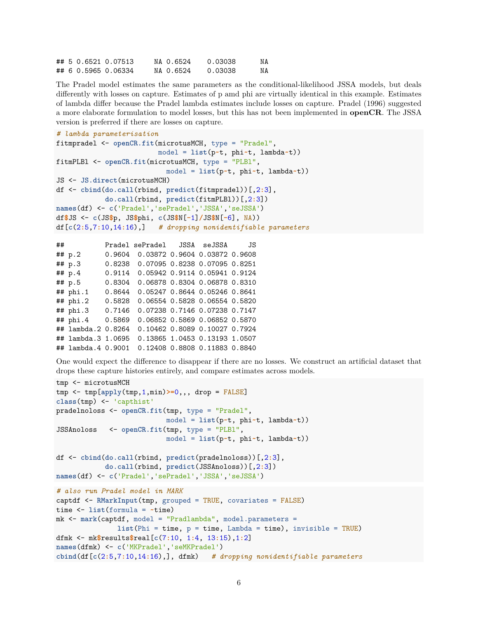|  | ## 5 0.6521 0.07513 | NA 0.6524 | 0.03038 | NA |
|--|---------------------|-----------|---------|----|
|  | ## 6 0.5965 0.06334 | NA 0.6524 | 0.03038 | NA |

The Pradel model estimates the same parameters as the conditional-likelihood JSSA models, but deals differently with losses on capture. Estimates of p amd phi are virtually identical in this example. Estimates of lambda differ because the Pradel lambda estimates include losses on capture. Pradel (1996) suggested a more elaborate formulation to model losses, but this has not been implemented in **openCR**. The JSSA version is preferred if there are losses on capture.

```
# lambda parameterisation
fitmpradel <- openCR.fit(microtusMCH, type = "Pradel",
                         model = list(p~t, phi~t, lambda~t))
fitmPLBl <- openCR.fit(microtusMCH, type = "PLBl",
                           model = list(p~t, phi~t, lambda~t))
JS <- JS.direct(microtusMCH)
df <- cbind(do.call(rbind, predict(fitmpradel))[,2:3],
            do.call(rbind, predict(fitmPLBl))[,2:3])
names(df) <- c('Pradel','sePradel','JSSA','seJSSA')
df$JS <- c(JS$p, JS$phi, c(JS$N[-1]/JS$N[-6], NA))
df[c(2:5,7:10,14:16),] # dropping nonidentifiable parameters
```

```
## Pradel sePradel JSSA seJSSA JS
## p.2 0.9604 0.03872 0.9604 0.03872 0.9608
## p.3 0.8238 0.07095 0.8238 0.07095 0.8251
## p.4 0.9114 0.05942 0.9114 0.05941 0.9124
## p.5 0.8304 0.06878 0.8304 0.06878 0.8310
## phi.1 0.8644 0.05247 0.8644 0.05246 0.8641
## phi.2 0.5828 0.06554 0.5828 0.06554 0.5820
## phi.3 0.7146 0.07238 0.7146 0.07238 0.7147
## phi.4 0.5869 0.06852 0.5869 0.06852 0.5870
## lambda.2 0.8264 0.10462 0.8089 0.10027 0.7924
## lambda.3 1.0695 0.13865 1.0453 0.13193 1.0507
## lambda.4 0.9001 0.12408 0.8808 0.11883 0.8840
```
One would expect the difference to disappear if there are no losses. We construct an artificial dataset that drops these capture histories entirely, and compare estimates across models.

```
tmp <- microtusMCH
tmp <- tmp[apply(tmp,1,min)>=0,,, drop = FALSE]
class(tmp) <- 'capthist'
pradelnoloss <- openCR.fit(tmp, type = "Pradel",
                           model = list(p~t, phi~t, lambda~t))
JSSAnoloss <- openCR.fit(tmp, type = "PLBl",
                           model = list(p~t, phi~t, lambda~t))
df <- cbind(do.call(rbind, predict(pradelnoloss))[,2:3],
            do.call(rbind, predict(JSSAnoloss))[,2:3])
names(df) <- c('Pradel','sePradel','JSSA','seJSSA')
# also run Pradel model in MARK
captdf <- RMarkInput(tmp, grouped = TRUE, covariates = FALSE)
time <- list(formula = ~time)
mk <- mark(captdf, model = "Pradlambda", model.parameters =
              list(Phi = time, p = time, Lambda = time), invisible = TRUE)
dfmk <- mk$results$real[c(7:10, 1:4, 13:15),1:2]
names(dfmk) <- c('MKPradel','seMKPradel')
cbind(df[c(2:5,7:10,14:16),], dfmk) # dropping nonidentifiable parameters
```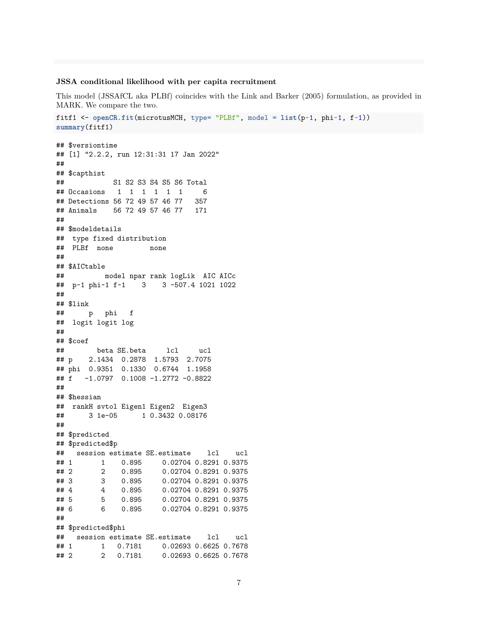### **JSSA conditional likelihood with per capita recruitment**

This model (JSSAfCL aka PLBf) coincides with the Link and Barker (2005) formulation, as provided in MARK. We compare the two.

```
fitf1 <- openCR.fit(microtusMCH, type= "PLBf", model = list(p~1, phi~1, f~1))
summary(fitf1)
```

```
## $versiontime
## [1] "2.2.2, run 12:31:31 17 Jan 2022"
##
## $capthist
## S1 S2 S3 S4 S5 S6 Total
## Occasions 1 1 1 1 1 1 6
## Detections 56 72 49 57 46 77 357
## Animals 56 72 49 57 46 77 171
##
## $modeldetails
## type fixed distribution
## PLBf none none
##
## $AICtable
## model npar rank logLik AIC AICc
## p~1 phi~1 f~1 3 3 -507.4 1021 1022
##
## $link
## p phi f
## logit logit log
##
## $coef
## beta SE.beta lcl ucl
## p 2.1434 0.2878 1.5793 2.7075
## phi 0.9351 0.1330 0.6744 1.1958
## f -1.0797 0.1008 -1.2772 -0.8822
##
## $hessian
## rankH svtol Eigen1 Eigen2 Eigen3
## 3 1e-05 1 0.3432 0.08176
##
## $predicted
## $predicted$p
## session estimate SE.estimate lcl ucl
## 1 1 0.895 0.02704 0.8291 0.9375
## 2 2 0.895 0.02704 0.8291 0.9375
## 3 3 0.895 0.02704 0.8291 0.9375
## 4 4 0.895 0.02704 0.8291 0.9375
## 5 5 0.895 0.02704 0.8291 0.9375
## 6 6 0.895 0.02704 0.8291 0.9375
##
## $predicted$phi
## session estimate SE.estimate lcl ucl
## 1 1 0.7181 0.02693 0.6625 0.7678
## 2 2 0.7181 0.02693 0.6625 0.7678
```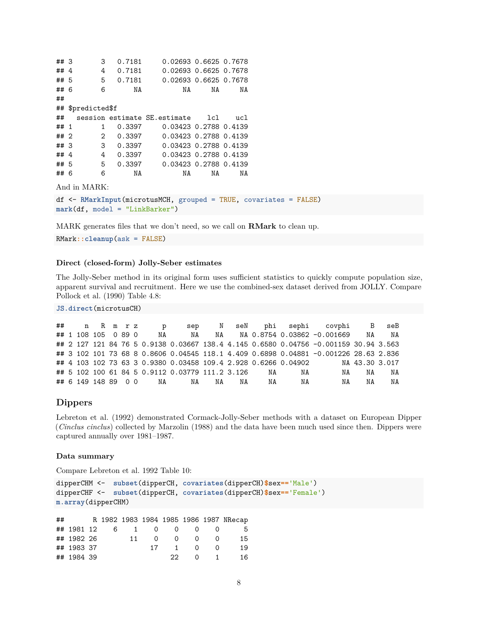## 3 3 0.7181 0.02693 0.6625 0.7678 ## 4 4 0.7181 0.02693 0.6625 0.7678 ## 5 5 0.7181 0.02693 0.6625 0.7678 ## 6 6 NA NA NA NA ## ## \$predicted\$f ## session estimate SE.estimate lcl ucl ## 1 1 0.3397 0.03423 0.2788 0.4139 ## 2 2 0.3397 0.03423 0.2788 0.4139 ## 3 3 0.3397 0.03423 0.2788 0.4139 ## 4 4 0.3397 0.03423 0.2788 0.4139 ## 5 5 0.3397 0.03423 0.2788 0.4139 ## 6 6 NA NA NA NA And in MARK: df <- **RMarkInput**(microtusMCH, grouped = TRUE, covariates = FALSE)

**mark**(df, model = "LinkBarker")

MARK generates files that we don't need, so we call on **RMark** to clean up.

RMark**::cleanup**(ask = FALSE)

### **Direct (closed-form) Jolly-Seber estimates**

The Jolly-Seber method in its original form uses sufficient statistics to quickly compute population size, apparent survival and recruitment. Here we use the combined-sex dataset derived from JOLLY. Compare [Pollock et al. \(1990\) Table 4.8:](https://www.otago.ac.nz/density/png/PNBHTab4.8.png)

**JS.direct**(microtusCH)

|  | ## n R m r z |  |  | $\sigma$               |                                                                |    |    |    |    | sep N seN phi sephi covphi B seB                                                     |    |                |
|--|--------------|--|--|------------------------|----------------------------------------------------------------|----|----|----|----|--------------------------------------------------------------------------------------|----|----------------|
|  |              |  |  | ## 1 108 105 0 89 0 NA |                                                                |    |    |    |    | NA NA NA 0.8754 0.03862 -0.001669                                                    | NA | NA             |
|  |              |  |  |                        |                                                                |    |    |    |    | ## 2 127 121 84 76 5 0.9138 0.03667 138.4 4.145 0.6580 0.04756 -0.001159 30.94 3.563 |    |                |
|  |              |  |  |                        |                                                                |    |    |    |    | ## 3 102 101 73 68 8 0.8606 0.04545 118.1 4.409 0.6898 0.04881 -0.001226 28.63 2.836 |    |                |
|  |              |  |  |                        | ## 4 103 102 73 63 3 0.9380 0.03458 109.4 2.928 0.6266 0.04902 |    |    |    |    |                                                                                      |    | NA 43.30 3.017 |
|  |              |  |  |                        | ## 5 102 100 61 84 5 0.9112 0.03779 111.2 3.126                |    |    | NA | NA | NA                                                                                   | NA | NA             |
|  |              |  |  |                        | ## 6 149 148 89 0 0 NA NA                                      | NA | NA | NA | NA | NA                                                                                   | NA | NA             |

### <span id="page-7-0"></span>**Dippers**

Lebreton et al. (1992) demonstrated Cormack-Jolly-Seber methods with a dataset on European Dipper (*Cinclus cinclus*) collected by Marzolin (1988) and the data have been much used since then. Dippers were captured annually over 1981–1987.

#### **Data summary**

Compare [Lebreton et al. 1992 Table 10:](https://www.otago.ac.nz/density/png/LBCATab10.png)

```
dipperCHM <- subset(dipperCH, covariates(dipperCH)$sex=='Male')
dipperCHF <- subset(dipperCH, covariates(dipperCH)$sex=='Female')
m.array(dipperCHM)
```

| ## |            |  |    |                    |           |                 |                | R 1982 1983 1984 1985 1986 1987 NRecap |
|----|------------|--|----|--------------------|-----------|-----------------|----------------|----------------------------------------|
|    |            |  |    | ## 1981 12 6 1 0 0 |           |                 |                | -5                                     |
|    | ## 1982 26 |  | 11 | $\Omega$           |           | $\Omega$<br>- 0 |                | 15                                     |
|    | ## 1983 37 |  |    | 17                 | $1 \quad$ |                 | $\Omega$       | 19                                     |
|    | ## 1984 39 |  |    |                    | -22.      | - 0             | $\overline{1}$ | 16.                                    |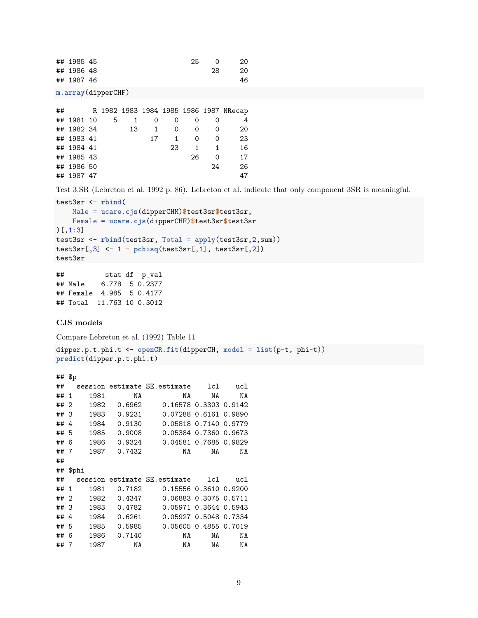| ## 1985 45 | 25 |    | 20 |
|------------|----|----|----|
| ## 1986 48 |    | 28 | 20 |
| ## 1987 46 |    |    | 46 |

**m.array**(dipperCHF)

| ## |            |   |    |    |    |    |    | R 1982 1983 1984 1985 1986 1987 NRecap |
|----|------------|---|----|----|----|----|----|----------------------------------------|
|    | ## 1981 10 | 5 | 1  | 0  | 0  |    |    | 4                                      |
|    | ## 1982 34 |   | 13 | 1  | 0  | 0  | 0  | 20                                     |
|    | ## 1983 41 |   |    | 17 | 1  | 0  | Ω  | 23                                     |
|    | ## 1984 41 |   |    |    | 23 | 1. |    | 16                                     |
|    | ## 1985 43 |   |    |    |    | 26 | Ω  | 17                                     |
|    | ## 1986 50 |   |    |    |    |    | 24 | 26                                     |
|    | ## 1987 47 |   |    |    |    |    |    | 47                                     |

Test 3.SR [\(Lebreton et al. 1992 p. 86\)](https://www.otago.ac.nz/density/png/LBCAp86.pdf). Lebreton et al. indicate that only component 3SR is meaningful.

```
test3sr <- rbind(
   Male = ucare.cjs(dipperCHM)$test3sr$test3sr,
   Female = ucare.cjs(dipperCHF)$test3sr$test3sr
)[,1:3]
test3sr <- rbind(test3sr, Total = apply(test3sr,2,sum))
test3sr[,3] <- 1 - pchisq(test3sr[,1], test3sr[,2])
test3sr
```

```
## stat df p_val
## Male 6.778 5 0.2377
## Female 4.985 5 0.4177
## Total 11.763 10 0.3012
```
### **CJS models**

[Compare Lebreton et al. \(1992\) Table 11](https://www.otago.ac.nz/density/png/LBCATab11.pdf)

```
dipper.p.t.phi.t <- openCR.fit(dipperCH, model = list(p~t, phi~t))
predict(dipper.p.t.phi.t)
```

```
## $p
## session estimate SE.estimate lcl ucl
## 1 1981 NA NA NA NA
## 2 1982 0.6962 0.16578 0.3303 0.9142
## 3 1983 0.9231 0.07288 0.6161 0.9890
## 4 1984 0.9130 0.05818 0.7140 0.9779
## 5 1985 0.9008 0.05384 0.7360 0.9673
## 6 1986 0.9324 0.04581 0.7685 0.9829
## 7 1987 0.7432 NA NA NA
##
## $phi
## session estimate SE.estimate lcl ucl
## 1 1981 0.7182 0.15556 0.3610 0.9200
## 2 1982 0.4347 0.06883 0.3075 0.5711
## 3 1983 0.4782 0.05971 0.3644 0.5943
## 4 1984 0.6261 0.05927 0.5048 0.7334
## 5 1985 0.5985 0.05605 0.4855 0.7019
## 6 1986 0.7140 NA NA NA
## 7 1987 NA NA NA NA
```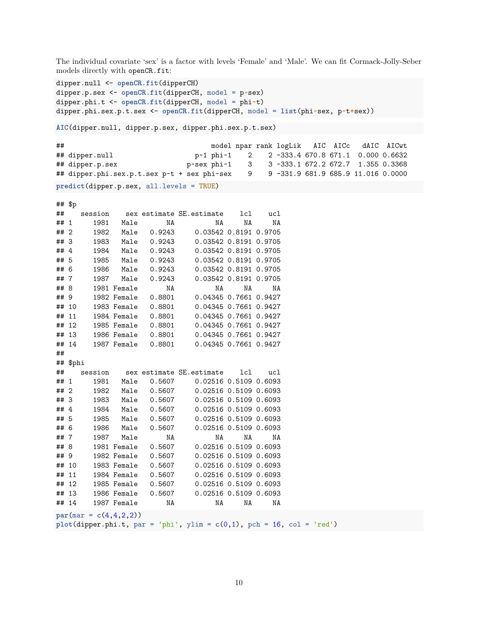The individual covariate 'sex' is a factor with levels 'Female' and 'Male'. We can fit Cormack-Jolly-Seber models directly with openCR.fit:

dipper.null <- **openCR.fit**(dipperCH) dipper.p.sex <- **openCR.fit**(dipperCH, model = p**~**sex) dipper.phi.t <- **openCR.fit**(dipperCH, model = phi**~**t) dipper.phi.sex.p.t.sex <- **openCR.fit**(dipperCH, model = **list**(phi**~**sex, p**~**t**+**sex))

**AIC**(dipper.null, dipper.p.sex, dipper.phi.sex.p.t.sex)

```
## model npar rank logLik AIC AICc dAIC AICwt
## dipper.null p~1 phi~1 2 2 -333.4 670.8 671.1 0.000 0.6632
## dipper.p.sex p~sex phi~1 3 3 -333.1 672.2 672.7 1.355 0.3368
## dipper.phi.sex.p.t.sex p~t + sex phi~sex 9 9 -331.9 681.9 685.9 11.016 0.0000
predict(dipper.p.sex, all.levels = TRUE)
```
## \$p

|      | ״ ״ ״    |                         |             |                      |                                                                          |     |     |  |
|------|----------|-------------------------|-------------|----------------------|--------------------------------------------------------------------------|-----|-----|--|
|      | ##       |                         |             |                      | session sex estimate SE. estimate                                        | 1c1 | ucl |  |
| ## 1 |          |                         | 1981 Male   | NA                   | NA                                                                       | NA  | ΝA  |  |
| ## 2 |          | 1982                    |             | Male 0.9243          | 0.03542 0.8191 0.9705                                                    |     |     |  |
| ## 3 |          | 1983                    |             | Male   0.9243        | 0.03542 0.8191 0.9705                                                    |     |     |  |
| ##4  |          | 1984                    |             |                      | 0.03542 0.8191 0.9705                                                    |     |     |  |
| ## 5 |          | 1985                    |             | Male   0.9243        | 0.03542 0.8191 0.9705                                                    |     |     |  |
| ## 6 |          | 1986                    |             | Male   0.9243        | 0.03542 0.8191 0.9705                                                    |     |     |  |
| ##7  |          | 1987                    | Male        | 0.9243               | 0.03542 0.8191 0.9705                                                    |     |     |  |
| ## 8 |          |                         | 1981 Female | NA                   | NA                                                                       | NA  | NA  |  |
| ## 9 |          |                         |             | 1982 Female 0.8801   | 0.04345 0.7661 0.9427                                                    |     |     |  |
|      | ## 10    |                         |             |                      | 1983 Female  0.8801  0.04345 0.7661 0.9427                               |     |     |  |
|      | ## 11    |                         |             | 1984 Female   0.8801 | 0.04345 0.7661 0.9427                                                    |     |     |  |
|      | ## 12    |                         |             |                      | 1985 Female  0.8801  0.04345 0.7661 0.9427                               |     |     |  |
|      | ## 13    |                         |             |                      | 1986 Female  0.8801  0.04345 0.7661 0.9427                               |     |     |  |
|      | ## 14    |                         |             |                      | 1987 Female  0.8801  0.04345 0.7661 0.9427                               |     |     |  |
| ##   |          |                         |             |                      |                                                                          |     |     |  |
|      | ## \$phi |                         |             |                      |                                                                          |     |     |  |
| ##   |          |                         |             |                      | session sex estimate SE.estimate                                         | 1c1 | ucl |  |
| ## 1 |          | 1981                    | Male        |                      | 0.5607 0.02516 0.5109 0.6093                                             |     |     |  |
| ## 2 |          | 1982                    |             |                      | Male  0.5607  0.02516  0.5109  0.6093                                    |     |     |  |
| ## 3 |          | 1983                    |             | Male  0.5607         | 0.02516 0.5109 0.6093                                                    |     |     |  |
| ##4  |          | 1984                    |             | Male   0.5607        | 0.02516 0.5109 0.6093                                                    |     |     |  |
| ## 5 |          | 1985                    |             |                      | Male  0.5607  0.02516  0.5109  0.6093                                    |     |     |  |
| ## 6 |          | 1986                    | Male        | 0.5607               | 0.02516 0.5109 0.6093                                                    |     |     |  |
|      | ##7      | 1987                    | Male        | NA                   | NA                                                                       | NA  | NA  |  |
| ## 8 |          |                         |             |                      | 1981 Female  0.5607  0.02516  0.5109  0.6093                             |     |     |  |
| ## 9 |          |                         |             | 1982 Female   0.5607 | 0.02516 0.5109 0.6093                                                    |     |     |  |
|      | ## 10    |                         |             | 1983 Female 0.5607   | 0.02516 0.5109 0.6093                                                    |     |     |  |
|      | ## 11    |                         |             | 1984 Female  0.5607  | 0.02516 0.5109 0.6093                                                    |     |     |  |
|      | ## 12    |                         |             |                      | 1985 Female  0.5607  0.02516  0.5109  0.6093                             |     |     |  |
|      | ## 13    |                         |             |                      | 0.02516 0.5109 0.6093                                                    |     |     |  |
|      | ## 14    |                         | 1987 Female | NA                   | NA                                                                       | NA  | ΝA  |  |
|      |          | $par(max = c(4,4,2,2))$ |             |                      |                                                                          |     |     |  |
|      |          |                         |             |                      | plot(dipper.phi.t, par = 'phi', ylim = $c(0,1)$ , pch = 16, col = 'red') |     |     |  |
|      |          |                         |             |                      |                                                                          |     |     |  |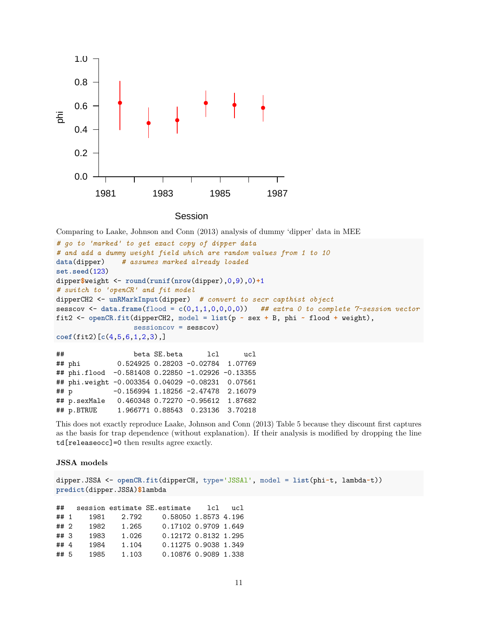

Session

Comparing to Laake, Johnson and Conn (2013) analysis of dummy 'dipper' data in MEE

```
# go to 'marked' to get exact copy of dipper data
# and add a dummy weight field which are random values from 1 to 10
data(dipper) # assumes marked already loaded
set.seed(123)
dipper$weight <- round(runif(nrow(dipper),0,9),0)+1
# switch to 'openCR' and fit model
dipperCH2 <- unRMarkInput(dipper) # convert to secr capthist object
sesscov <- data.frame(flood = c(0,1,1,0,0,0,0)) ## extra 0 to complete 7-session vector
fit2 <- openCR.fit(dipperCH2, model = list(p ~ sex + B, phi ~ flood + weight),
                   sessioncov = sesscov)
coef(fit2)[c(4,5,6,1,2,3),]
```
## beta SE.beta lcl ucl ## phi 0.524925 0.28203 -0.02784 1.07769 ## phi.flood -0.581408 0.22850 -1.02926 -0.13355 ## phi.weight -0.003354 0.04029 -0.08231 0.07561 ## p -0.156994 1.18256 -2.47478 2.16079 ## p.sexMale 0.460348 0.72270 -0.95612 1.87682 ## p.BTRUE 1.966771 0.88543 0.23136 3.70218

This does not exactly reproduce [Laake, Johnson and Conn \(2013\) Table 5](https://www.otago.ac.nz/density/png/LJCTab5.pdf) because they discount first captures as the basis for trap dependence (without explanation). If their analysis is modified by dropping the line td[releaseocc]=0 then results agree exactly.

### **JSSA models**

```
dipper.JSSA <- openCR.fit(dipperCH, type='JSSAl', model = list(phi~t, lambda~t))
predict(dipper.JSSA)$lambda
```
## session estimate SE.estimate lcl ucl ## 1 1981 2.792 0.58050 1.8573 4.196 ## 2 1982 1.265 0.17102 0.9709 1.649 ## 3 1983 1.026 0.12172 0.8132 1.295 ## 4 1984 1.104 0.11275 0.9038 1.349 ## 5 1985 1.103 0.10876 0.9089 1.338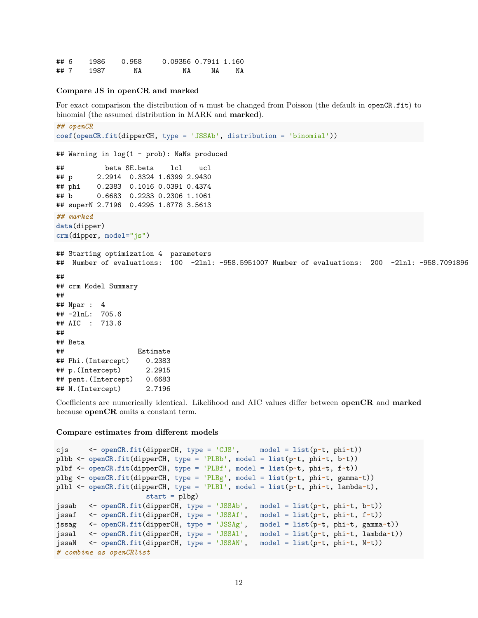## 6 1986 0.958 0.09356 0.7911 1.160 ## 7 1987 NA NA NA NA

### **Compare JS in openCR and marked**

For exact comparison the distribution of *n* must be changed from Poisson (the default in openCR.fit) to binomial (the assumed distribution in MARK and **marked**).

```
## openCR
coef(openCR.fit(dipperCH, type = 'JSSAb', distribution = 'binomial'))
## Warning in log(1 - prob): NaNs produced
## beta SE.beta lcl ucl
## p 2.2914 0.3324 1.6399 2.9430
## phi 0.2383 0.1016 0.0391 0.4374
## b 0.6683 0.2233 0.2306 1.1061
## superN 2.7196 0.4295 1.8778 3.5613
## marked
data(dipper)
crm(dipper, model="js")
## Starting optimization 4 parameters
## Number of evaluations: 100 -2lnl: -958.5951007 Number of evaluations: 200 -2lnl: -958.7091896
##
## crm Model Summary
##
## Npar : 4
## -2lnL: 705.6
## AIC : 713.6
##
## Beta
## Estimate
## Phi.(Intercept) 0.2383
## p.(Intercept) 2.2915
## pent.(Intercept) 0.6683
## N.(Intercept) 2.7196
```
Coefficients are numerically identical. Likelihood and AIC values differ between **openCR** and **marked** because **openCR** omits a constant term.

#### **Compare estimates from different models**

```
cjs <- openCR.fit(dipperCH, type = 'CJS', model = list(p~t, phi~t))
plbb <- openCR.fit(dipperCH, type = 'PLBb', model = list(p~t, phi~t, b~t))
plbf <- openCR.fit(dipperCH, type = 'PLBf', model = list(p~t, phi~t, f~t))
plbg <- openCR.fit(dipperCH, type = 'PLBg', model = list(p~t, phi~t, gamma~t))
plbl <- openCR.fit(dipperCH, type = 'PLBl', model = list(p~t, phi~t, lambda~t),
                     start = plbgjssab <- openCR.fit(dipperCH, type = 'JSSAb', model = list(p~t, phi~t, b~t))
jssaf <- openCR.fit(dipperCH, type = 'JSSAf', model = list(p~t, phi~t, f~t))
jssag <- openCR.fit(dipperCH, type = 'JSSAg', model = list(p~t, phi~t, gamma~t))
jssal <- openCR.fit(dipperCH, type = 'JSSAl', model = list(p~t, phi~t, lambda~t))
jssaN <- openCR.fit(dipperCH, type = 'JSSAN', model = list(p~t, phi~t, N~t))
# combine as openCRlist
```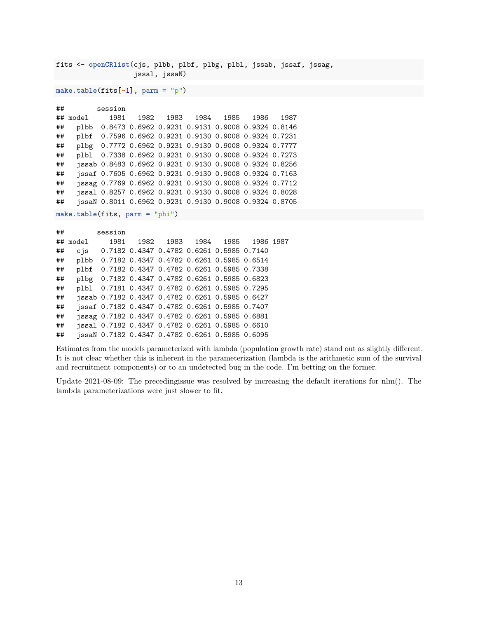fits <- **openCRlist**(cjs, plbb, plbf, plbg, plbl, jssab, jssaf, jssag, jssal, jssaN)

**make.table**(fits[**-**1], parm = "p")

## session ## model 1981 1982 1983 1984 1985 1986 1987 ## plbb 0.8473 0.6962 0.9231 0.9131 0.9008 0.9324 0.8146 ## plbf 0.7596 0.6962 0.9231 0.9130 0.9008 0.9324 0.7231 ## plbg 0.7772 0.6962 0.9231 0.9130 0.9008 0.9324 0.7777 ## plbl 0.7338 0.6962 0.9231 0.9130 0.9008 0.9324 0.7273 ## jssab 0.8483 0.6962 0.9231 0.9130 0.9008 0.9324 0.8256 ## jssaf 0.7605 0.6962 0.9231 0.9130 0.9008 0.9324 0.7163 ## jssag 0.7769 0.6962 0.9231 0.9130 0.9008 0.9324 0.7712 ## jssal 0.8257 0.6962 0.9231 0.9130 0.9008 0.9324 0.8028 ## jssaN 0.8011 0.6962 0.9231 0.9130 0.9008 0.9324 0.8705 **make.table**(fits, parm = "phi")

| ## |          | session                                         |                                           |  |                                    |  |
|----|----------|-------------------------------------------------|-------------------------------------------|--|------------------------------------|--|
|    | ## model |                                                 |                                           |  | 1981 1982 1983 1984 1985 1986 1987 |  |
| ## |          | cjs 0.7182 0.4347 0.4782 0.6261 0.5985 0.7140   |                                           |  |                                    |  |
| ## | plbb     | 0.7182 0.4347 0.4782 0.6261 0.5985 0.6514       |                                           |  |                                    |  |
| ## | plbf     |                                                 | 0.7182 0.4347 0.4782 0.6261 0.5985 0.7338 |  |                                    |  |
| ## | plbg     | 0.7182 0.4347 0.4782 0.6261 0.5985 0.6823       |                                           |  |                                    |  |
| ## |          | plbl 0.7181 0.4347 0.4782 0.6261 0.5985 0.7295  |                                           |  |                                    |  |
| ## |          | jssab 0.7182 0.4347 0.4782 0.6261 0.5985 0.6427 |                                           |  |                                    |  |
| ## |          | jssaf 0.7182 0.4347 0.4782 0.6261 0.5985 0.7407 |                                           |  |                                    |  |
| ## |          | jssag 0.7182 0.4347 0.4782 0.6261 0.5985 0.6881 |                                           |  |                                    |  |
| ## |          | jssal 0.7182 0.4347 0.4782 0.6261 0.5985 0.6610 |                                           |  |                                    |  |
| ## |          | jssaN 0.7182 0.4347 0.4782 0.6261 0.5985 0.6095 |                                           |  |                                    |  |

Estimates from the models parameterized with lambda (population growth rate) stand out as slightly different. It is not clear whether this is inherent in the parameterization (lambda is the arithmetic sum of the survival and recruitment components) or to an undetected bug in the code. I'm betting on the former.

Update 2021-08-09: The precedingissue was resolved by increasing the default iterations for nlm(). The lambda parameterizations were just slower to fit.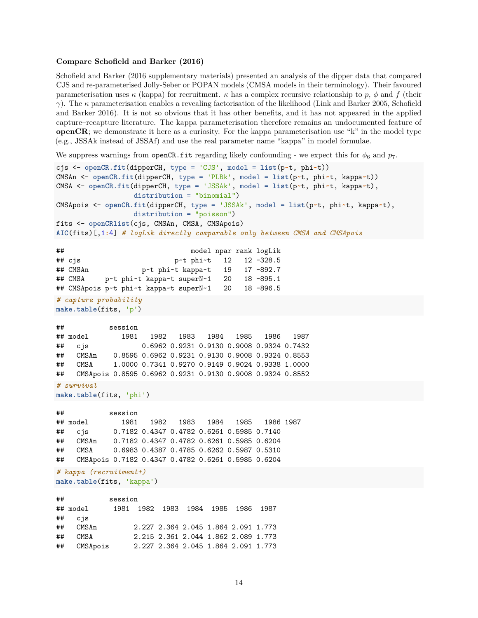#### **Compare Schofield and Barker (2016)**

Schofield and Barker (2016 supplementary materials) presented an analysis of the dipper data that compared CJS and re-parameterised Jolly-Seber or POPAN models (CMSA models in their terminology). Their favoured parameterisation uses  $\kappa$  (kappa) for recruitment.  $\kappa$  has a complex recursive relationship to p,  $\phi$  and f (their *γ*). The *κ* parameterisation enables a revealing factorisation of the likelihood (Link and Barker 2005, Schofield and Barker 2016). It is not so obvious that it has other benefits, and it has not appeared in the applied capture–recapture literature. The kappa parameterisation therefore remains an undocumented feature of **openCR**; we demonstrate it here as a curiosity. For the kappa parameterisation use "k" in the model type (e.g., JSSAk instead of JSSAf) and use the real parameter name "kappa" in model formulae.

We suppress warnings from openCR.fit regarding likely confounding - we expect this for  $\phi_6$  and  $p_7$ .

```
cjs <- openCR.fit(dipperCH, type = 'CJS', model = list(p~t, phi~t))
CMSAn <- openCR.fit(dipperCH, type = 'PLBk', model = list(p~t, phi~t, kappa~t))
CMSA <- openCR.fit(dipperCH, type = 'JSSAk', model = list(p~t, phi~t, kappa~t),
                distribution = "binomial")
CMSApois <- openCR.fit(dipperCH, type = 'JSSAk', model = list(p~t, phi~t, kappa~t),
                distribution = "poisson")
fits <- openCRlist(cjs, CMSAn, CMSA, CMSApois)
AIC(fits)[,1:4] # logLik directly comparable only between CMSA and CMSApois
## model npar rank logLik
## cjs p~t phi~t 12 12 -328.5
## CMSAn p~t phi~t kappa~t 19 17 -892.7
## CMSA p~t phi~t kappa~t superN~1 20 18 -895.1
## CMSApois p~t phi~t kappa~t superN~1 20 18 -896.5
# capture probability
make.table(fits, 'p')
## session
## model 1981 1982 1983 1984 1985 1986 1987
## cjs 0.6962 0.9231 0.9130 0.9008 0.9324 0.7432
## CMSAn 0.8595 0.6962 0.9231 0.9130 0.9008 0.9324 0.8553
## CMSA 1.0000 0.7341 0.9270 0.9149 0.9024 0.9338 1.0000
## CMSApois 0.8595 0.6962 0.9231 0.9130 0.9008 0.9324 0.8552
# survival
make.table(fits, 'phi')
## session
## model 1981 1982 1983 1984 1985 1986 1987
## cjs 0.7182 0.4347 0.4782 0.6261 0.5985 0.7140
## CMSAn 0.7182 0.4347 0.4782 0.6261 0.5985 0.6204
## CMSA 0.6983 0.4387 0.4785 0.6262 0.5987 0.5310
## CMSApois 0.7182 0.4347 0.4782 0.6261 0.5985 0.6204
# kappa (recruitment+)
make.table(fits, 'kappa')
## session
## model 1981 1982 1983 1984 1985 1986 1987
## cjs
## CMSAn 2.227 2.364 2.045 1.864 2.091 1.773
```
## CMSA 2.215 2.361 2.044 1.862 2.089 1.773 ## CMSApois 2.227 2.364 2.045 1.864 2.091 1.773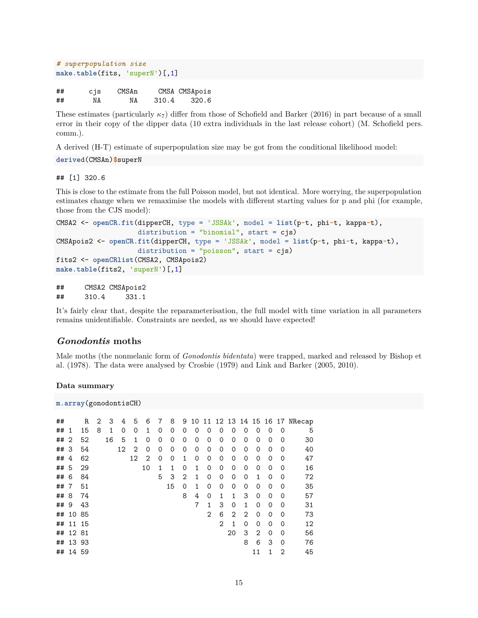```
# superpopulation size
make.table(fits, 'superN')[,1]
```

| ## | cjs | CMSAn |       | CMSA CMSApois |
|----|-----|-------|-------|---------------|
| ## | NA  | NA    | 310.4 | 320.6         |

These estimates (particularly *κ*7) differ from those of Schofield and Barker (2016) in part because of a small error in their copy of the dipper data (10 extra individuals in the last release cohort) (M. Schofield pers. comm.).

A derived (H-T) estimate of superpopulation size may be got from the conditional likelihood model:

**derived**(CMSAn)**\$**superN

### ## [1] 320.6

This is close to the estimate from the full Poisson model, but not identical. More worrying, the superpopulation estimates change when we remaximise the models with different starting values for p and phi (for example, those from the CJS model):

```
CMSA2 <- openCR.fit(dipperCH, type = 'JSSAk', model = list(p~t, phi~t, kappa~t),
                    distribution = "binomial", start = cjs)
CMSApois2 <- openCR.fit(dipperCH, type = 'JSSAk', model = list(p~t, phi~t, kappa~t),
                    distribution = "poisson", start = cjs)
fits2 <- openCRlist(CMSA2, CMSApois2)
make.table(fits2, 'superN')[,1]
```

```
## CMSA2 CMSApois2
## 310.4 331.1
```
It's fairly clear that, despite the reparameterisation, the full model with time variation in all parameters remains unidentifiable. Constraints are needed, as we should have expected!

### <span id="page-14-0"></span>*Gonodontis* **moths**

Male moths (the nonmelanic form of *Gonodontis bidentata*) were trapped, marked and released by Bishop et al. (1978). The data were analysed by Crosbie (1979) and Link and Barker (2005, 2010).

**Data summary**

```
m.array(gonodontisCH)
```

| ## |                 | R  | 2 | 3  | 4        | 5  | 6        | 7        | 8        | 9 | 10 | 11            |                |    |                |    |          |                | 12 13 14 15 16 17 NRecap |
|----|-----------------|----|---|----|----------|----|----------|----------|----------|---|----|---------------|----------------|----|----------------|----|----------|----------------|--------------------------|
| ## | -1              | 15 | 8 | 1  | $\Omega$ | 0  | 1        | 0        | 0        | 0 | 0  | 0             | 0              | 0  | 0              | 0  | 0        | 0              | 5                        |
| ## | $\overline{2}$  | 52 |   | 16 | 5        | 1  | $\Omega$ | 0        | $\Omega$ | 0 | 0  | 0             | 0              | 0  | 0              | 0  | 0        | $\Omega$       | 30                       |
| ## | -3              | 54 |   |    | 12       | 2  | 0        | 0        | $\Omega$ | 0 | 0  | 0             | 0              | 0  | 0              | 0  | 0        | $\Omega$       | 40                       |
| ## | 4               | 62 |   |    |          | 12 | 2        | $\Omega$ | $\Omega$ | 1 | 0  | 0             | 0              | 0  | 0              | 0  | 0        | $\Omega$       | 47                       |
| ## | -5              | 29 |   |    |          |    | 10       | 1        | 1        | 0 | 1  | 0             | 0              | 0  | 0              | 0  | 0        | $\Omega$       | 16                       |
| ## | 6               | 84 |   |    |          |    |          | 5        | 3        | 2 | 1  | 0             | 0              | 0  | 0              | 1  | 0        | $\Omega$       | 72                       |
| ## | $7\overline{ }$ | 51 |   |    |          |    |          |          | 15       | 0 | 1  | 0             | 0              | 0  | 0              | 0  | 0        | $\Omega$       | 35                       |
| ## | 8               | 74 |   |    |          |    |          |          |          | 8 | 4  | 0             | 1              | 1  | 3              | 0  | 0        | $\Omega$       | 57                       |
| ## | 9               | 43 |   |    |          |    |          |          |          |   | 7  | 1             | 3              | 0  | 1              | 0  | 0        | $\Omega$       | 31                       |
| ## | 10              | 85 |   |    |          |    |          |          |          |   |    | $\mathcal{D}$ | 6              | 2  | $\mathfrak{D}$ | 0  | 0        | 0              | 73                       |
| ## | 11 15           |    |   |    |          |    |          |          |          |   |    |               | $\overline{2}$ | 1  | 0              | 0  | 0        | $\Omega$       | 12                       |
| ## | 1281            |    |   |    |          |    |          |          |          |   |    |               |                | 20 | 3              | 2  | $\Omega$ | $\Omega$       | 56                       |
| ## | 13 93           |    |   |    |          |    |          |          |          |   |    |               |                |    | 8              | 6  | 3        | $\Omega$       | 76                       |
|    | ## 14 59        |    |   |    |          |    |          |          |          |   |    |               |                |    |                | 11 | 1        | $\overline{2}$ | 45                       |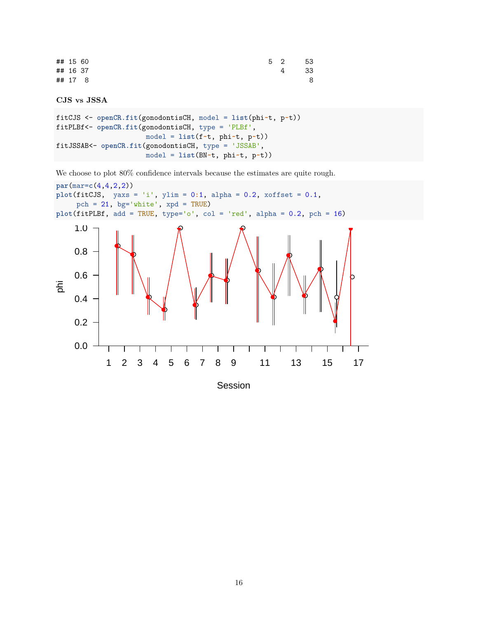| ## 15 60 |         |  | 5 2 53 |      |
|----------|---------|--|--------|------|
| ## 16 37 |         |  | 4      | - 33 |
|          | ## 17 8 |  |        | 8    |

```
CJS vs JSSA
```

```
fitCJS <- openCR.fit(gonodontisCH, model = list(phi~t, p~t))
fitPLBf<- openCR.fit(gonodontisCH, type = 'PLBf',
                      model = list(f~t, phi~t, p~t))
fitJSSAB<- openCR.fit(gonodontisCH, type = 'JSSAB',
                      model = list(BN~t, phi~t, p~t))
```
We choose to plot  $80\%$  confidence intervals because the estimates are quite rough.



Session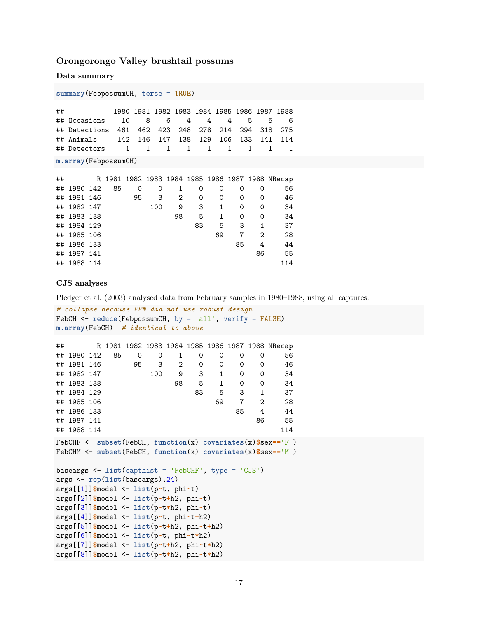### <span id="page-16-0"></span>**Orongorongo Valley brushtail possums**

**Data summary**

```
summary(FebpossumCH, terse = TRUE)
```
## 1980 1981 1982 1983 1984 1985 1986 1987 1988 ## Occasions 10 8 6 4 4 4 5 5 6 ## Detections 461 462 423 248 278 214 294 318 275 142 146 147 138 129 106 133 141 114 ## Detectors 1 1 1 1 1 1 1 1 1

**m.array**(FebpossumCH)

| ## |             |    |    |     |    |    |    |    |    | R 1981 1982 1983 1984 1985 1986 1987 1988 NRecap |
|----|-------------|----|----|-----|----|----|----|----|----|--------------------------------------------------|
|    | ## 1980 142 | 85 | 0  | 0   | 1  | 0  | 0  | 0  | 0  | 56                                               |
|    | ## 1981 146 |    | 95 | 3   | 2  | 0  | 0  | 0  | 0  | 46                                               |
|    | ## 1982 147 |    |    | 100 | 9  | 3  | 1  | 0  | 0  | 34                                               |
|    | ## 1983 138 |    |    |     | 98 | 5  | 1  | 0  | 0  | 34                                               |
|    | ## 1984 129 |    |    |     |    | 83 | 5  | 3  |    | 37                                               |
|    | ## 1985 106 |    |    |     |    |    | 69 |    | 2  | 28                                               |
|    | ## 1986 133 |    |    |     |    |    |    | 85 | 4  | 44                                               |
|    | ## 1987 141 |    |    |     |    |    |    |    | 86 | 55                                               |
|    | ## 1988 114 |    |    |     |    |    |    |    |    | 114                                              |

### **CJS analyses**

Pledger et al. (2003) analysed data from February samples in 1980–1988, using all captures.

```
# collapse because PPN did not use robust design
FebCH <- reduce(FebpossumCH, by = 'all', verify = FALSE)
m.array(FebCH) # identical to above
```

| ## |             |    |                                                        |     |                |                |             |                        |                               | R 1981 1982 1983 1984 1985 1986 1987 1988 NRecap                                                                                              |
|----|-------------|----|--------------------------------------------------------|-----|----------------|----------------|-------------|------------------------|-------------------------------|-----------------------------------------------------------------------------------------------------------------------------------------------|
|    | ## 1980 142 | 85 | 0                                                      | 0   | 1              | 0              | 0           | 0                      | 0                             | 56                                                                                                                                            |
|    | ## 1981 146 |    | 95                                                     | 3   | $\overline{2}$ | 0              | 0           | 0                      | 0                             | 46                                                                                                                                            |
|    | ## 1982 147 |    |                                                        | 100 |                | 9              | $3^{\circ}$ | $1 \quad \blacksquare$ | $0 \qquad$<br>0               | 34                                                                                                                                            |
|    | ## 1983 138 |    |                                                        |     | 98             | 5 <sub>5</sub> |             | $1 \quad$              | $\overline{0}$<br>$\mathbf 0$ | 34                                                                                                                                            |
|    | ## 1984 129 |    |                                                        |     |                |                | 83 5 3 1    |                        |                               | 37                                                                                                                                            |
|    | ## 1985 106 |    |                                                        |     |                |                |             |                        | 69 7 2                        | 28                                                                                                                                            |
|    | ## 1986 133 |    |                                                        |     |                |                |             | 85                     | 4                             | 44                                                                                                                                            |
|    | ## 1987 141 |    |                                                        |     |                |                |             |                        | 86                            | 55                                                                                                                                            |
|    | ## 1988 114 |    |                                                        |     |                |                |             |                        |                               | 114                                                                                                                                           |
|    |             |    |                                                        |     |                |                |             |                        |                               | FebCHF <- subset(FebCH, function(x) covariates(x)\$sex == $(F')$<br>FebCHM <- subset(FebCH, function(x) covariates(x) $\frac{E}{E}$ sex=='M') |
|    |             |    | baseargs $\le$ list(capthist = 'FebCHF', type = 'CJS') |     |                |                |             |                        |                               |                                                                                                                                               |
|    |             |    | args <- rep(list(baseargs), 24)                        |     |                |                |             |                        |                               |                                                                                                                                               |
|    |             |    | args[[1]]\$model <- list(p~t, phi~t)                   |     |                |                |             |                        |                               |                                                                                                                                               |
|    |             |    | $args[[2]]$ \$model <- list(p~t+h2, phi~t)             |     |                |                |             |                        |                               |                                                                                                                                               |
|    |             |    | $args[[3]]$ \$model <- list(p~t*h2, phi~t)             |     |                |                |             |                        |                               |                                                                                                                                               |
|    |             |    | args[[4]]\$model <- list(p~t, phi~t+h2)                |     |                |                |             |                        |                               |                                                                                                                                               |
|    |             |    | args[[5]]\$model <- list(p~t+h2, phi~t+h2)             |     |                |                |             |                        |                               |                                                                                                                                               |
|    |             |    | args[[6]]\$model <- list(p~t, phi~t*h2)                |     |                |                |             |                        |                               |                                                                                                                                               |

args[[7]]**\$**model <- **list**(p**~**t**+**h2, phi**~**t**\***h2) args[[8]]**\$**model <- **list**(p**~**t**\***h2, phi**~**t**\***h2)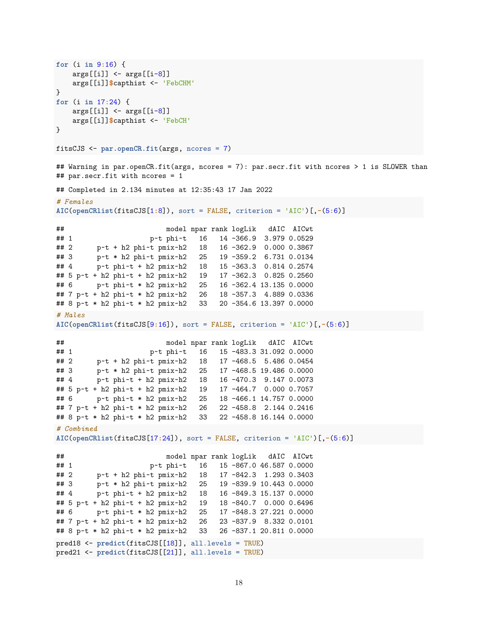```
for (i in 9:16) {
   args[[i]] \leftarrow args[[i-8]]args[[i]]$capthist <- 'FebCHM'
}
for (i in 17:24) {
   args[[i]] \leftarrow args[[i-8]]args[[i]]$capthist <- 'FebCH'
}
fitsCJS <- par.openCR.fit(args, ncores = 7)
## Warning in par.openCR.fit(args, ncores = 7): par.secr.fit with ncores > 1 is SLOWER than
## par.secr.fit with ncores = 1
## Completed in 2.134 minutes at 12:35:43 17 Jan 2022
# Females
AIC(openCRlist(fitsCJS[1:8]), sort = FALSE, criterion = 'AIC')[,-(5:6)]
## model npar rank logLik dAIC AICwt
## 1 p~t phi~t 16 14 -366.9 3.979 0.0529
## 2 p~t + h2 phi~t pmix~h2 18 16 -362.9 0.000 0.3867
## 3 p~t * h2 phi~t pmix~h2 25 19 -359.2 6.731 0.0134
## 4 p~t phi~t + h2 pmix~h2 18 15 -363.3 0.814 0.2574
## 5 p~t + h2 phi~t + h2 pmix~h2 19 17 -362.3 0.825 0.2560
## 6 p~t phi~t * h2 pmix~h2 25 16 -362.4 13.135 0.0000
## 7 p~t + h2 phi~t * h2 pmix~h2 26 18 -357.3 4.889 0.0336
## 8 p~t * h2 phi~t * h2 pmix~h2 33 20 -354.6 13.397 0.0000
# Males
AIC(openCRlist(fitsCJS[9:16]), sort = FALSE, criterion = 'AIC')[,-(5:6)]
## model npar rank logLik dAIC AICwt
## 1 p~t phi~t 16 15 -483.3 31.092 0.0000
## 2 p~t + h2 phi~t pmix~h2 18 17 -468.5 5.486 0.0454
## 3 p~t * h2 phi~t pmix~h2 25 17 -468.5 19.486 0.0000
## 4 p~t phi~t + h2 pmix~h2 18 16 -470.3 9.147 0.0073
## 5 p~t + h2 phi~t + h2 pmix~h2 19 17 -464.7 0.000 0.7057
## 6 p~t phi~t * h2 pmix~h2 25 18 -466.1 14.757 0.0000
## 7 p~t + h2 phi~t * h2 pmix~h2 26 22 -458.8 2.144 0.2416
## 8 p~t * h2 phi~t * h2 pmix~h2 33 22 -458.8 16.144 0.0000
# Combined
AIC(openCRlist(fitsCJS[17:24]), sort = FALSE, criterion = 'AIC')[,-(5:6)]
## model npar rank logLik dAIC AICwt
## 1 p~t phi~t 16 15 -867.0 46.587 0.0000
## 2 p~t + h2 phi~t pmix~h2 18 17 -842.3 1.293 0.3403
## 3 p~t * h2 phi~t pmix~h2 25 19 -839.9 10.443 0.0000
## 4 p~t phi~t + h2 pmix~h2 18 16 -849.3 15.137 0.0000
## 5 p~t + h2 phi~t + h2 pmix~h2 19 18 -840.7 0.000 0.6496
## 6 p~t phi~t * h2 pmix~h2 25 17 -848.3 27.221 0.0000
## 7 p~t + h2 phi~t * h2 pmix~h2 26 23 -837.9 8.332 0.0101
## 8 p~t * h2 phi~t * h2 pmix~h2 33 26 -837.1 20.811 0.0000
pred18 <- predict(fitsCJS[[18]], all.levels = TRUE)
pred21 <- predict(fitsCJS[[21]], all.levels = TRUE)
```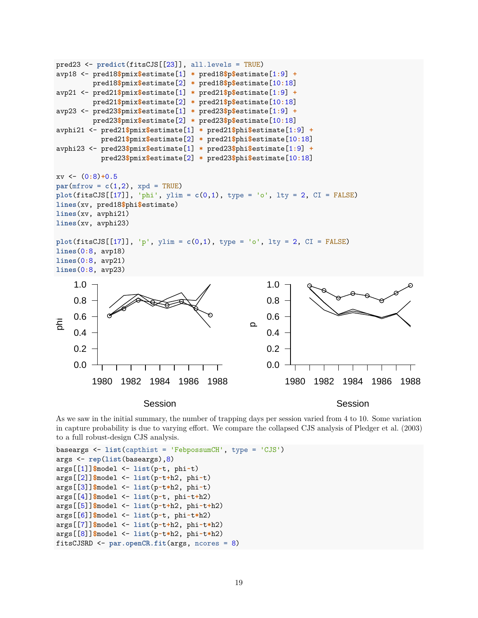

As we saw in the initial summary, the number of trapping days per session varied from 4 to 10. Some variation in capture probability is due to varying effort. We compare the collapsed CJS analysis of Pledger et al. (2003) to a full robust-design CJS analysis.

```
baseargs <- list(capthist = 'FebpossumCH', type = 'CJS')
args <- rep(list(baseargs),8)
args[[1]]$model <- list(p~t, phi~t)
args[[2]]$model <- list(p~t+h2, phi~t)
args[[3]]$model <- list(p~t*h2, phi~t)
args[[4]]$model <- list(p~t, phi~t+h2)
args[[5]]$model <- list(p~t+h2, phi~t+h2)
args[[6]]$model <- list(p~t, phi~t*h2)
args[[7]]$model <- list(p~t+h2, phi~t*h2)
args[[8]]$model <- list(p~t*h2, phi~t*h2)
fitsCJSRD <- par.openCR.fit(args, ncores = 8)
```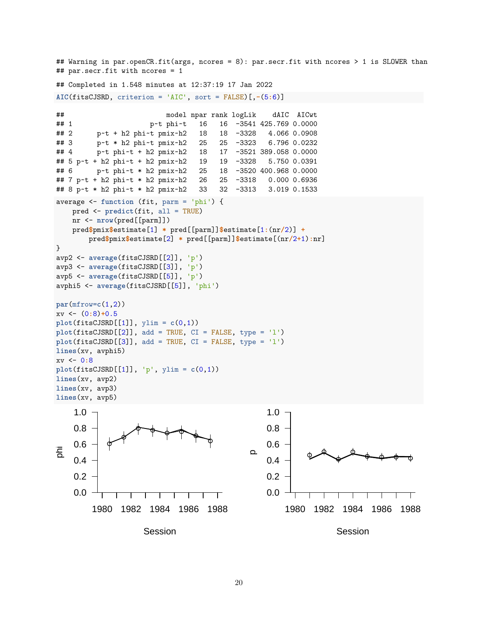```
## Warning in par.openCR.fit(args, ncores = 8): par.secr.fit with ncores > 1 is SLOWER than
## par.secr.fit with ncores = 1
## Completed in 1.548 minutes at 12:37:19 17 Jan 2022
AIC(fitsCJSRD, criterion = 'AIC', sort = FALSE)[,-(5:6)]
## model npar rank logLik dAIC AICwt
## 1 p~t phi~t 16 16 -3541 425.769 0.0000
## 2 p~t + h2 phi~t pmix~h2 18 18 -3328 4.066 0.0908
## 3 p~t * h2 phi~t pmix~h2 25 25 -3323 6.796 0.0232
## 4 p~t phi~t + h2 pmix~h2 18 17 -3521 389.058 0.0000
## 5 p~t + h2 phi~t + h2 pmix~h2 19 19 -3328 5.750 0.0391
## 6 p~t phi~t * h2 pmix~h2 25 18 -3520 400.968 0.0000
## 7 p~t + h2 phi~t * h2 pmix~h2 26 25 -3318 0.000 0.6936
## 8 p~t * h2 phi~t * h2 pmix~h2 33 32 -3313 3.019 0.1533
average <- function (fit, parm = 'phi') {
   pred <- predict(fit, all = TRUE)
   nr <- nrow(pred[[parm]])
   pred$pmix$estimate[1] * pred[[parm]]$estimate[1:(nr/2)] +
       pred$pmix$estimate[2] * pred[[parm]]$estimate[(nr/2+1):nr]
}
avp2 <- average(fitsCJSRD[[2]], 'p')
avp3 <- average(fitsCJSRD[[3]], 'p')
avp5 <- average(fitsCJSRD[[5]], 'p')
avphi5 <- average(fitsCJSRD[[5]], 'phi')
par(mfrow=c(1,2))
xv <- (0:8)+0.5
plot(fitsCJSRD[[1]], ylim = c(0,1))plot(fitsCJSRD[[2]], add = TRUE, CI = FALSE, type = 'l')
plot(fitsCJSRD[[3]], add = TRUE, CI = FALSE, type = 'l')
lines(xv, avphi5)
xv <- 0:8
plot(fitsCJSRD[[1]], 'p', ylim = c(0,1))
lines(xv, avp2)
lines(xv, avp3)
lines(xv, avp5)
                    Session
phi
        1980 1982 1984 1986 1988
    0.0
    0.2
    0.4
    0.6
    0.8
    1.0
                                                                Session
                                            \Omega1980 1982 1984 1986 1988
                                                0.0
                                                0.2
                                                0.4
                                                0.6
                                                0.8
                                                1.0
```

```
20
```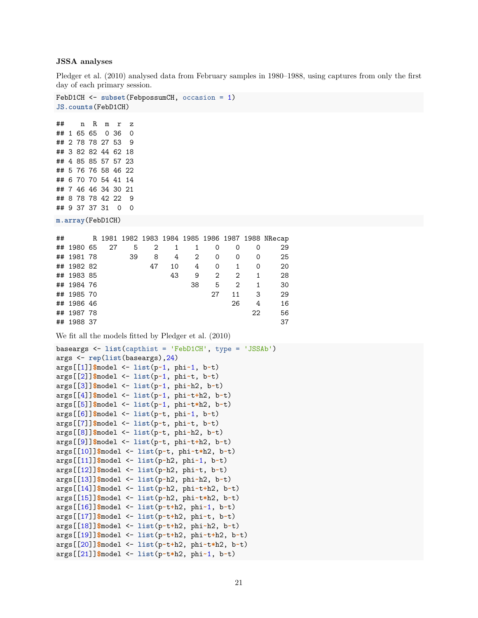### **JSSA analyses**

Pledger et al. (2010) analysed data from February samples in 1980–1988, using captures from only the first day of each primary session.

```
FebD1CH <- subset(FebpossumCH, occasion = 1)
JS.counts(FebD1CH)
## n R m r z
## 1 65 65 0 36 0
## 2 78 78 27 53 9
## 3 82 82 44 62 18
## 4 85 85 57 57 23
## 5 76 76 58 46 22
## 6 70 70 54 41 14
## 7 46 46 34 30 21
## 8 78 78 42 22 9
## 9 37 37 31 0 0
m.array(FebD1CH)
## R 1981 1982 1983 1984 1985 1986 1987 1988 NRecap
## 1980 65 27 5 2 1 1 0 0 0 29
## 1981 78 39 8 4 2 0 0 0 25
## 1982 82 47 10 4 0 1 0 20
## 1983 85 43 9 2 2 1 28
## 1984 76 38 5 2 1 30
## 1985 70 27 11 3 29
## 1986 46 26 4 16
## 1987 78 22 56
## 1988 37 37
We fit all the models fitted by Pledger et al. (2010)
baseargs <- list(capthist = 'FebD1CH', type = 'JSSAb')
args <- rep(list(baseargs),24)
args[[1]]$model <- list(p~1, phi~1, b~t)
args[[2]]$model <- list(p~1, phi~t, b~t)
args[[3]]$model <- list(p~1, phi~h2, b~t)
args[[4]]$model <- list(p~1, phi~t+h2, b~t)
args[[5]]$model <- list(p~1, phi~t*h2, b~t)
args[[6]]$model <- list(p~t, phi~1, b~t)
args[[7]]$model <- list(p~t, phi~t, b~t)
args[[8]]$model <- list(p~t, phi~h2, b~t)
args[[9]]$model <- list(p~t, phi~t+h2, b~t)
args[[10]]$model <- list(p~t, phi~t*h2, b~t)
args[[11]]$model <- list(p~h2, phi~1, b~t)
args[[12]]$model <- list(p~h2, phi~t, b~t)
args[[13]]$model <- list(p~h2, phi~h2, b~t)
args[[14]]$model <- list(p~h2, phi~t+h2, b~t)
args[[15]]$model <- list(p~h2, phi~t*h2, b~t)
args[[16]]$model <- list(p~t+h2, phi~1, b~t)
args[[17]]$model <- list(p~t+h2, phi~t, b~t)
args[[18]]$model <- list(p~t+h2, phi~h2, b~t)
args[[19]]$model <- list(p~t+h2, phi~t+h2, b~t)
args[[20]]$model <- list(p~t+h2, phi~t*h2, b~t)
args[[21]]$model <- list(p~t*h2, phi~1, b~t)
```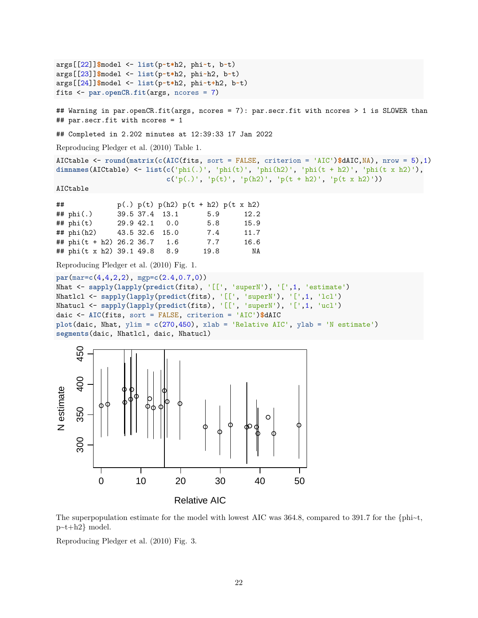```
args[[22]]$model <- list(p~t*h2, phi~t, b~t)
args[[23]]$model <- list(p~t*h2, phi~h2, b~t)
args[[24]]$model <- list(p~t*h2, phi~t+h2, b~t)
fits <- par.openCR.fit(args, ncores = 7)
## Warning in par.openCR.fit(args, ncores = 7): par.secr.fit with ncores > 1 is SLOWER than
## par.secr.fit with ncores = 1
## Completed in 2.202 minutes at 12:39:33 17 Jan 2022
Reproducing Pledger et al. (2010) Table 1.
AICtable <- round(matrix(c(AIC(fits, sort = FALSE, criterion = 'AIC')$dAIC,NA), nrow = 5),1)
dimnames(AICtable) <- list(c('phi(.)', 'phi(t)', 'phi(h2)', 'phi(t + h2)', 'phi(t x h2)'),
                         c('p(.)', 'p(t)', 'p(h2)', 'p(t + h2)', 'p(t x h2)'))
AICtable
## p(.) p(t) p(h2) p(t + h2) p(t x h2)## phi(.) 39.5 37.4 13.1 5.9 12.2
## phi(t) 29.9 42.1 0.0 5.8 15.9
## phi(h2) 43.5 32.6 15.0 7.4 11.7
## phi(t + h2) 26.2 36.7 1.6 7.7 16.6
## phi(t x h2) 39.1 49.8 8.9 19.8 NA
Reproducing Pledger et al. (2010) Fig. 1.
par(mar=c(4,4,2,2), mgp=c(2.4,0.7,0))
Nhat <- sapply(lapply(predict(fits), '[[', 'superN'), '[',1, 'estimate')
Nhatlcl <- sapply(lapply(predict(fits), '[[', 'superN'), '[',1, 'lcl')
Nhatucl <- sapply(lapply(predict(fits), '[[', 'superN'), '[',1, 'ucl')
daic <- AIC(fits, sort = FALSE, criterion = 'AIC')$dAIC
plot(daic, Nhat, ylim = c(270,450), xlab = 'Relative AIC', ylab = 'N estimate')
segments(daic, Nhatlcl, daic, Nhatucl)
    450
```


The superpopulation estimate for the model with lowest AIC was 364.8, compared to 391.7 for the  $\{\text{phi-t},$ p~t+h2} model.

Reproducing [Pledger et al. \(2010\) Fig. 3.](https://www.otago.ac.nz/density/png/PPN2010Fig3.png)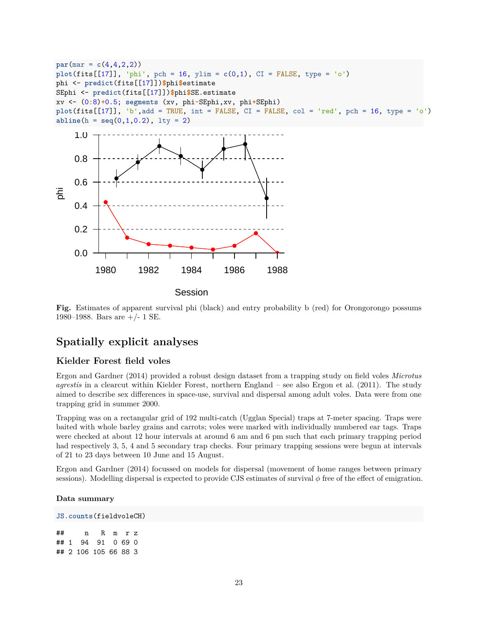```
par(max = c(4,4,2,2))plot(fits[[17]], 'phi', pch = 16, ylim = c(0,1), CI = FALSE, type = 'o')phi <- predict(fits[[17]])$phi$estimate
SEphi <- predict(fits[[17]])$phi$SE.estimate
xv <- (0:8)+0.5; segments (xv, phi-SEphi,xv, phi+SEphi)
plot(fits[[17]], 'b',add = TRUE, int = FALSE, CI = FALSE, col = 'red', pch = 16, type = 'o')
abline(h = seq(0, 1, 0.2), 1ty = 2)
```


**Fig.** Estimates of apparent survival phi (black) and entry probability b (red) for Orongorongo possums 1980–1988. Bars are  $+/- 1$  SE.

## <span id="page-22-0"></span>**Spatially explicit analyses**

### <span id="page-22-1"></span>**Kielder Forest field voles**

Ergon and Gardner (2014) provided a robust design dataset from a trapping study on field voles *Microtus agrestis* in a clearcut within Kielder Forest, northern England – see also Ergon et al. (2011). The study aimed to describe sex differences in space-use, survival and dispersal among adult voles. Data were from one trapping grid in summer 2000.

Trapping was on a rectangular grid of 192 multi-catch (Ugglan Special) traps at 7-meter spacing. Traps were baited with whole barley grains and carrots; voles were marked with individually numbered ear tags. Traps were checked at about 12 hour intervals at around 6 am and 6 pm such that each primary trapping period had respectively 3, 5, 4 and 5 secondary trap checks. Four primary trapping sessions were begun at intervals of 21 to 23 days between 10 June and 15 August.

Ergon and Gardner (2014) focussed on models for dispersal (movement of home ranges between primary sessions). Modelling dispersal is expected to provide CJS estimates of survival *φ* free of the effect of emigration.

### **Data summary**

**JS.counts**(fieldvoleCH) ## n R m r z ## 1 94 91 0 69 0 ## 2 106 105 66 88 3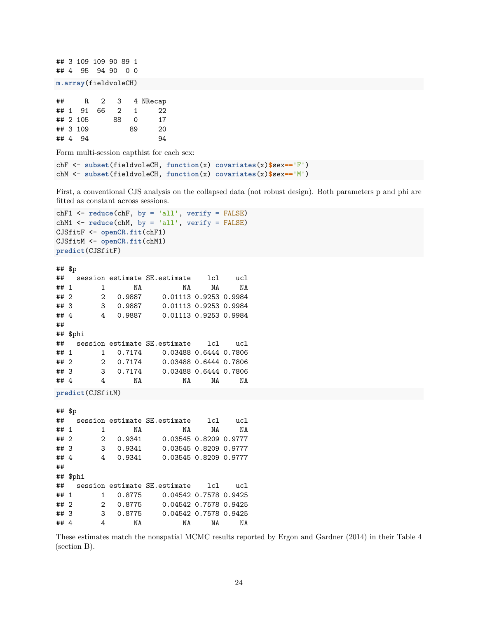```
## 3 109 109 90 89 1
## 4 95 94 90 0 0
m.array(fieldvoleCH)
## R 2 3 4 NRecap
## 1 91 66 2 1 22
## 2 105 88 0 17
## 3 109 89 20
## 4 94 94
Form multi-session capthist for each sex:
chF <- subset(fieldvoleCH, function(x) covariates(x)$sex=='F')
chM <- subset(fieldvoleCH, function(x) covariates(x)$sex=='M')
First, a conventional CJS analysis on the collapsed data (not robust design). Both parameters p and phi are
fitted as constant across sessions.
chF1 <- reduce(chF, by = 'all', verify = FALSE)
chM1 <- reduce(chM, by = 'all', verify = FALSE)
CJSfitF <- openCR.fit(chF1)
CJSfitM <- openCR.fit(chM1)
predict(CJSfitF)
## $p
## session estimate SE.estimate lcl ucl
## 1 1 NA NA NA NA
## 2 2 0.9887 0.01113 0.9253 0.9984
## 3 3 0.9887 0.01113 0.9253 0.9984
## 4 4 0.9887 0.01113 0.9253 0.9984
##
## $phi
## session estimate SE.estimate lcl ucl
## 1 1 0.7174 0.03488 0.6444 0.7806
## 2 2 0.7174 0.03488 0.6444 0.7806
## 3 3 0.7174 0.03488 0.6444 0.7806
## 4 4 NA NA NA NA
predict(CJSfitM)
## $p
## session estimate SE.estimate lcl ucl
## 1 1 NA NA NA NA
## 2 2 0.9341 0.03545 0.8209 0.9777
## 3 3 0.9341 0.03545 0.8209 0.9777
## 4 4 0.9341 0.03545 0.8209 0.9777
##
## $phi
## session estimate SE.estimate lcl ucl
## 1 1 0.8775 0.04542 0.7578 0.9425
## 2 2 0.8775 0.04542 0.7578 0.9425
## 3 3 0.8775 0.04542 0.7578 0.9425
## 4 4 NA NA NA NA
```
These estimates match the nonspatial MCMC results reported by Ergon and Gardner (2014) in their [Table 4](https://www.otago.ac.nz/density/png/EG2014Tab4.pdf) (section B).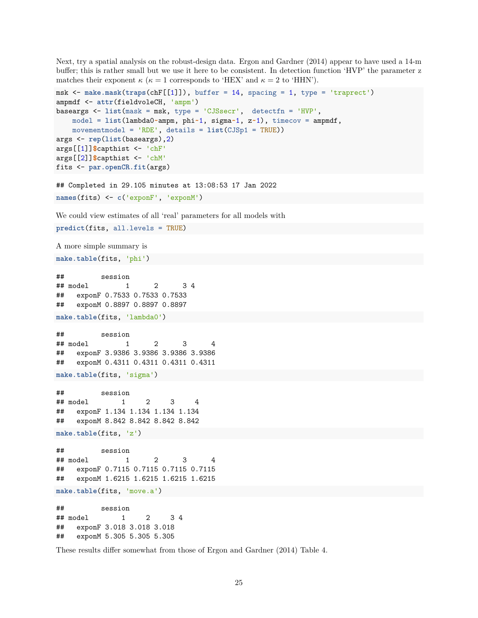Next, try a spatial analysis on the robust-design data. Ergon and Gardner (2014) appear to have used a 14-m buffer; this is rather small but we use it here to be consistent. In detection function 'HVP' the parameter z matches their exponent  $\kappa$  ( $\kappa = 1$  corresponds to 'HEX' and  $\kappa = 2$  to 'HHN').

```
msk <- make.mask(traps(chF[[1]]), buffer = 14, spacing = 1, type = 'traprect')
ampmdf <- attr(fieldvoleCH, 'ampm')
baseargs <- list(mask = msk, type = 'CJSsecr', detectfn = 'HVP',
   model = list(lambda0~ampm, phi~1, sigma~1, z~1), timecov = ampmdf,
   movementmodel = 'RDE', details = list(CJSp1 = TRUE))
args <- rep(list(baseargs),2)
args[[1]]$capthist <- 'chF'
args[[2]]$capthist <- 'chM'
fits <- par.openCR.fit(args)
```

```
## Completed in 29.105 minutes at 13:08:53 17 Jan 2022
names(fits) <- c('exponF', 'exponM')
```
We could view estimates of all 'real' parameters for all models with

```
predict(fits, all.levels = TRUE)
```
A more simple summary is

**make.table**(fits, 'phi')

```
## session
## model 1 2 3 4
## exponF 0.7533 0.7533 0.7533
## exponM 0.8897 0.8897 0.8897
make.table(fits, 'lambda0')
```

```
## session
## model 1 2 3 4
## exponF 3.9386 3.9386 3.9386 3.9386
## exponM 0.4311 0.4311 0.4311 0.4311
```

```
make.table(fits, 'sigma')
```

```
## session
## model 1 2 3 4
## exponF 1.134 1.134 1.134 1.134
## exponM 8.842 8.842 8.842 8.842
```
**make.table**(fits, 'z')

```
## session
## model 1 2 3 4
## exponF 0.7115 0.7115 0.7115 0.7115
## exponM 1.6215 1.6215 1.6215 1.6215
```
**make.table**(fits, 'move.a')

## session ## model 1 2 3 4 ## exponF 3.018 3.018 3.018 ## exponM 5.305 5.305 5.305

These results differ somewhat from those of [Ergon and Gardner \(2014\) Table 4.](https://www.otago.ac.nz/density/png/EG2014Tab4.pdf)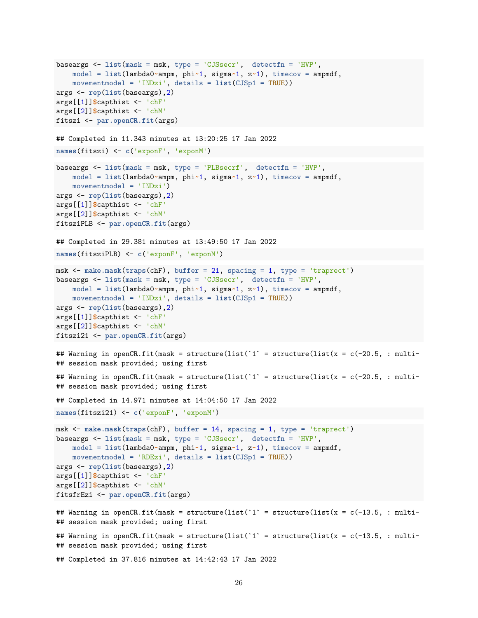```
baseargs <- list(mask = msk, type = 'CJSsecr', detectfn = 'HVP',
   model = list(lambda0~ampm, phi~1, sigma~1, z~1), timecov = ampmdf,
   movementmodel = 'INDzi', details = list(CJSp1 = TRUE))
args <- rep(list(baseargs),2)
args[[1]]$capthist <- 'chF'
args[[2]]$capthist <- 'chM'
fitszi <- par.openCR.fit(args)
## Completed in 11.343 minutes at 13:20:25 17 Jan 2022
names(fitszi) <- c('exponF', 'exponM')
baseargs <- list(mask = msk, type = 'PLBsecrf', detectfn = 'HVP',
   model = list(lambda0~ampm, phi~1, sigma~1, z~1), timecov = ampmdf,
   movementmodel = 'INDzi')
args <- rep(list(baseargs),2)
args[[1]]$capthist <- 'chF'
args[[2]]$capthist <- 'chM'
fitsziPLB <- par.openCR.fit(args)
## Completed in 29.381 minutes at 13:49:50 17 Jan 2022
names(fitsziPLB) <- c('exponF', 'exponM')
msk <- make.mask(traps(chF), buffer = 21, spacing = 1, type = 'traprect')
baseargs <- list(mask = msk, type = 'CJSsecr', detectfn = 'HVP',
   model = list(lambda0~ampm, phi~1, sigma~1, z~1), timecov = ampmdf,
   movementmodel = 'INDzi', details = list(CJSp1 = TRUE))
args <- rep(list(baseargs),2)
args[[1]]$capthist <- 'chF'
args[[2]]$capthist <- 'chM'
fitszi21 <- par.openCR.fit(args)
## Warning in openCR.fit(mask = structure(list(i^* = structure(list(x = c(-20.5, : multi-
## session mask provided; using first
## Warning in openCR.fit(mask = structure(list(1' = structure(list(x = c(-20.5, : multi-
## session mask provided; using first
## Completed in 14.971 minutes at 14:04:50 17 Jan 2022
names(fitszi21) <- c('exponF', 'exponM')
msk <- make.mask(traps(chF), buffer = 14, spacing = 1, type = 'traprect')
baseargs <- list(mask = msk, type = 'CJSsecr', detectfn = 'HVP',
   model = list(lambda0~ampm, phi~1, sigma~1, z~1), timecov = ampmdf,
   movementmodel = 'RDEzi', details = list(CJSp1 = TRUE))
args <- rep(list(baseargs),2)
args[[1]]$capthist <- 'chF'
args[[2]]$capthist <- 'chM'
fitsfrEzi <- par.openCR.fit(args)
## Warning in openCR.fit(mask = structure(list(i^* = structure(list(x = c(-13.5, : multi-
## session mask provided; using first
## Warning in openCR.fit(mask = structure(list(i) = structure(list(x = c(-13.5, : multi-
## session mask provided; using first
## Completed in 37.816 minutes at 14:42:43 17 Jan 2022
```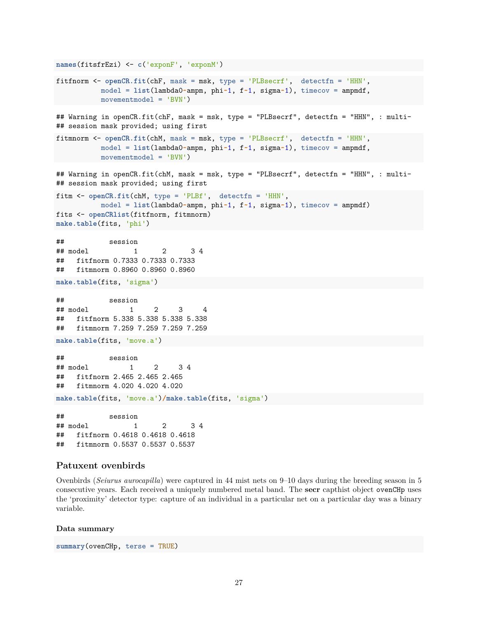```
names(fitsfrEzi) <- c('exponF', 'exponM')
fitfnorm <- openCR.fit(chF, mask = msk, type = 'PLBsecrf', detectfn = 'HHN',
          model = list(lambda0~ampm, phi~1, f~1, sigma~1), timecov = ampmdf,
          movementmodel = 'BVN')
## Warning in openCR.fit(chF, mask = msk, type = "PLBsecrf", detectfn = "HHN", : multi-
## session mask provided; using first
fitmnorm <- openCR.fit(chM, mask = msk, type = 'PLBsecrf', detectfn = 'HHN',
          model = list(lambda0~ampm, phi~1, f~1, sigma~1), timecov = ampmdf,
          movementmodel = 'BVN')
## Warning in openCR.fit(chM, mask = msk, type = "PLBsecrf", detectfn = "HHN", : multi-
## session mask provided; using first
fitm <- openCR.fit(chM, type = 'PLBf', detectfn = 'HHN',
          model = list(lambda0~ampm, phi~1, f~1, sigma~1), timecov = ampmdf)
fits <- openCRlist(fitfnorm, fitmnorm)
make.table(fits, 'phi')
## session
## model 1 2 3 4
## fitfnorm 0.7333 0.7333 0.7333
## fitmnorm 0.8960 0.8960 0.8960
make.table(fits, 'sigma')
## session
## model 1 2 3 4
## fitfnorm 5.338 5.338 5.338 5.338
## fitmnorm 7.259 7.259 7.259 7.259
make.table(fits, 'move.a')
## session
## model 1 2 3 4
## fitfnorm 2.465 2.465 2.465
## fitmnorm 4.020 4.020 4.020
make.table(fits, 'move.a')/make.table(fits, 'sigma')
## session
## model 1 2 3 4
## fitfnorm 0.4618 0.4618 0.4618
## fitmnorm 0.5537 0.5537 0.5537
```
### <span id="page-26-0"></span>**Patuxent ovenbirds**

Ovenbirds (*Seiurus aurocapilla*) were captured in 44 mist nets on 9–10 days during the breeding season in 5 consecutive years. Each received a uniquely numbered metal band. The **secr** capthist object ovenCHp uses the 'proximity' detector type: capture of an individual in a particular net on a particular day was a binary variable.

#### **Data summary**

```
summary(ovenCHp, terse = TRUE)
```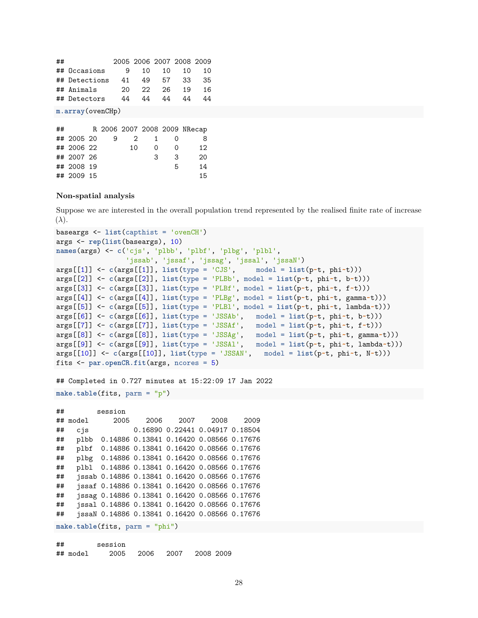| ## |                  |  |                              | 2005 2006 2007 2008 2009 |   |    |    |   |    |    |
|----|------------------|--|------------------------------|--------------------------|---|----|----|---|----|----|
| ## | Occasions        |  |                              | 9                        |   | 10 | 10 |   | 10 | 10 |
| ## | Detections       |  |                              | 41                       |   | 49 | 57 |   | 33 | 35 |
| ## | Animals          |  |                              | 20                       |   | 22 | 26 |   | 19 | 16 |
| ## | Detectors        |  |                              | 44                       |   | 44 | 44 |   | 44 | 44 |
|    | m.array(ovenCHp) |  |                              |                          |   |    |    |   |    |    |
|    |                  |  |                              |                          |   |    |    |   |    |    |
| ## |                  |  | R 2006 2007 2008 2009 NRecap |                          |   |    |    |   |    |    |
|    | 2005 20          |  | 9                            |                          | 2 |    |    | Ω |    |    |

| ## 2005 20 | ч |    |   | $\mathbf{u}$      | ਨ  |
|------------|---|----|---|-------------------|----|
| ## 2006 22 |   | 10 | O | $\mathbf{\Omega}$ | 12 |
| ## 2007 26 |   |    | З | 3                 | 20 |
| ## 2008 19 |   |    |   | h                 | 14 |
| ## 2009 15 |   |    |   |                   | 15 |

### **Non-spatial analysis**

Suppose we are interested in the overall population trend represented by the realised finite rate of increase (*λ*).

```
baseargs <- list(capthist = 'ovenCH')
args <- rep(list(baseargs), 10)
names(args) <- c('cjs', 'plbb', 'plbf', 'plbg', 'plbl',
                 'jssab', 'jssaf', 'jssag', 'jssal', 'jssaN')
args[[1]] <- c(args[[1]], list(type = 'CJS', model = list(p~t, phi~t)))
args[[2]] <- c(args[[2]], list(type = 'PLBb', model = list(p~t, phi~t, b~t)))
args[[3]] <- c(args[[3]], list(type = 'PLBf', model = list(p~t, phi~t, f~t)))
args[[4]] <- c(args[[4]], list(type = 'PLBg', model = list(p~t, phi~t, gamma~t)))
args[[5]] <- c(args[[5]], list(type = 'PLBl', model = list(p~t, phi~t, lambda~t)))
args[[6]] <- c(args[[6]], list(type = 'JSSAb', model = list(p~t, phi~t, b~t)))
args[[7]] <- c(args[[7]], list(type = 'JSSAf', model = list(p~t, phi~t, f~t)))
args[[8]] <- c(args[[8]], list(type = 'JSSAg', model = list(p~t, phi~t, gamma~t)))
args[[9]] <- c(args[[9]], list(type = 'JSSAl', model = list(p~t, phi~t, lambda~t)))
args[[10]] <- c(args[[10]], list(type = 'JSSAN', model = list(p~t, phi~t, N~t)))
fits <- par.openCR.fit(args, ncores = 5)
```

```
## Completed in 0.727 minutes at 15:22:09 17 Jan 2022
```
**make.table**(fits, parm = "p")

```
## session
## model 2005 2006 2007 2008 2009
## cjs 0.16890 0.22441 0.04917 0.18504
## plbb 0.14886 0.13841 0.16420 0.08566 0.17676
## plbf 0.14886 0.13841 0.16420 0.08566 0.17676
## plbg 0.14886 0.13841 0.16420 0.08566 0.17676
## plbl 0.14886 0.13841 0.16420 0.08566 0.17676
## jssab 0.14886 0.13841 0.16420 0.08566 0.17676
## jssaf 0.14886 0.13841 0.16420 0.08566 0.17676
## jssag 0.14886 0.13841 0.16420 0.08566 0.17676
## jssal 0.14886 0.13841 0.16420 0.08566 0.17676
## jssaN 0.14886 0.13841 0.16420 0.08566 0.17676
```
**make.table**(fits, parm = "phi")

| ## |          | session |                |           |
|----|----------|---------|----------------|-----------|
|    | ## model |         | 2005 2006 2007 | 2008 2009 |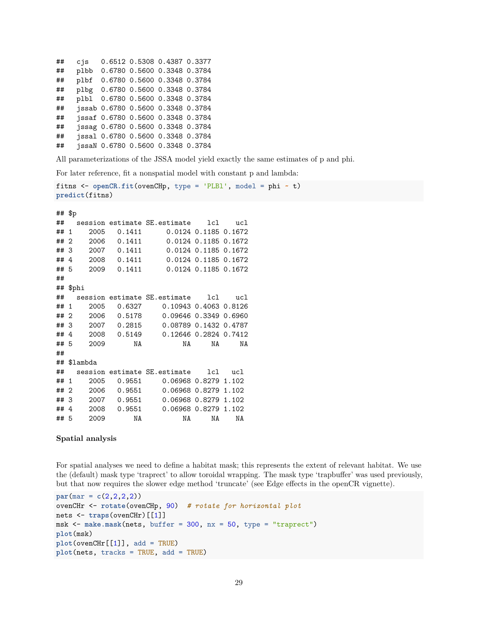```
## cjs 0.6512 0.5308 0.4387 0.3377
## plbb 0.6780 0.5600 0.3348 0.3784
## plbf 0.6780 0.5600 0.3348 0.3784
## plbg 0.6780 0.5600 0.3348 0.3784
## plbl 0.6780 0.5600 0.3348 0.3784
## jssab 0.6780 0.5600 0.3348 0.3784
## jssaf 0.6780 0.5600 0.3348 0.3784
## jssag 0.6780 0.5600 0.3348 0.3784
## jssal 0.6780 0.5600 0.3348 0.3784
## jssaN 0.6780 0.5600 0.3348 0.3784
```
All parameterizations of the JSSA model yield exactly the same estimates of p and phi.

For later reference, fit a nonspatial model with constant p and lambda:

```
fitns <- openCR.fit(ovenCHp, type = 'PLBl', model = phi ~ t)
predict(fitns)
## $p
## session estimate SE.estimate lcl ucl
## 1 2005 0.1411 0.0124 0.1185 0.1672
## 2 2006 0.1411 0.0124 0.1185 0.1672
## 3 2007 0.1411 0.0124 0.1185 0.1672
## 4 2008 0.1411 0.0124 0.1185 0.1672
## 5 2009 0.1411 0.0124 0.1185 0.1672
##
## $phi
## session estimate SE.estimate lcl ucl
## 1 2005 0.6327 0.10943 0.4063 0.8126
## 2 2006 0.5178 0.09646 0.3349 0.6960
## 3 2007 0.2815 0.08789 0.1432 0.4787
## 4 2008 0.5149 0.12646 0.2824 0.7412
## 5 2009 NA NA NA NA
##
## $lambda
## session estimate SE.estimate lcl ucl
## 1 2005 0.9551 0.06968 0.8279 1.102
## 2 2006 0.9551 0.06968 0.8279 1.102
## 3 2007 0.9551 0.06968 0.8279 1.102
## 4 2008 0.9551 0.06968 0.8279 1.102
## 5 2009 NA NA NA NA
```
### **Spatial analysis**

For spatial analyses we need to define a habitat mask; this represents the extent of relevant habitat. We use the (default) mask type 'traprect' to allow toroidal wrapping. The mask type 'trapbuffer' was used previously, but that now requires the slower edge method 'truncate' (see Edge effects in the openCR vignette).

```
par(max = c(2,2,2,2))ovenCHr <- rotate(ovenCHp, 90) # rotate for horizontal plot
nets <- traps(ovenCHr)[[1]]
msk <- make.mask(nets, buffer = 300, nx = 50, type = "traprect")
plot(msk)
plot(ovenCHr[[1]], add = TRUE)
plot(nets, tracks = TRUE, add = TRUE)
```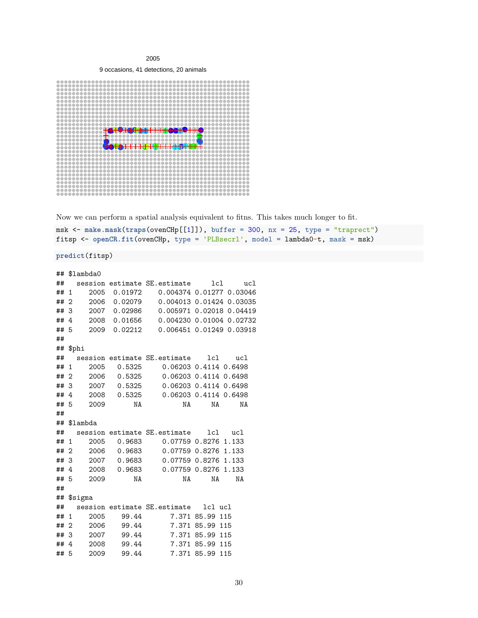2005

9 occasions, 41 detections, 20 animals



Now we can perform a spatial analysis equivalent to fitns. This takes much longer to fit.

msk <- **make.mask**(**traps**(ovenCHp[[1]]), buffer = 300, nx = 25, type = "traprect") fitsp <- **openCR.fit**(ovenCHp, type = 'PLBsecrl', model = lambda0**~**t, mask = msk)

**predict**(fitsp)

| ##   |                | \$lambda0   |               |                                            |                 |         |
|------|----------------|-------------|---------------|--------------------------------------------|-----------------|---------|
| ##   |                |             |               | session estimate SE.estimate               |                 | lcl ucl |
| ## 1 |                |             |               | 2005  0.01972  0.004374  0.01277  0.03046  |                 |         |
| ##   | $\overline{2}$ | 2006        | 0.02079       | 0.004013 0.01424 0.03035                   |                 |         |
| ## 3 |                | 2007        | 0.02986       | 0.005971 0.02018 0.04419                   |                 |         |
| ##   | $\overline{4}$ |             | 2008  0.01656 | 0.004230 0.01004 0.02732                   |                 |         |
| ## 5 |                |             | 2009 0.02212  | 0.006451 0.01249 0.03918                   |                 |         |
| ##   |                |             |               |                                            |                 |         |
| ##   |                | \$phi       |               |                                            |                 |         |
| ##   |                |             |               | session estimate SE.estimate    lcl    ucl |                 |         |
| ##   | 1              | 2005        |               | $0.5325$ 0.06203 0.4114 0.6498             |                 |         |
| ## 2 |                |             | 2006  0.5325  | 0.06203 0.4114 0.6498                      |                 |         |
| ## 3 |                | 2007        | 0.5325        | 0.06203 0.4114 0.6498                      |                 |         |
| ##   | $\overline{4}$ |             | 2008  0.5325  | 0.06203 0.4114 0.6498                      |                 |         |
| ## 5 |                | 2009        | NA            | NA                                         | NA              | NA      |
| ##   |                |             |               |                                            |                 |         |
|      |                | ## \$lambda |               |                                            |                 |         |
| ##   |                |             |               | session estimate SE.estimate               | lcl             | ucl     |
| ##   | 1              | 2005        |               |                                            |                 |         |
| ## 2 |                |             | 2006  0.9683  | 0.07759 0.8276 1.133                       |                 |         |
| ##3  |                |             | 2007 0.9683   | 0.07759 0.8276 1.133                       |                 |         |
| ##   | $\overline{4}$ | 2008        | 0.9683        | 0.07759 0.8276 1.133                       |                 |         |
| ## 5 |                | 2009        | NA            | NA                                         | NA              | NA      |
| ##   |                |             |               |                                            |                 |         |
|      |                | ## \$sigma  |               |                                            |                 |         |
| ##   |                |             |               | session estimate SE. estimate    lcl ucl   |                 |         |
| ##   | $\mathbf{1}$   | 2005        |               | 99.44 7.371 85.99                          |                 | 115     |
| ##   | 2              | 2006        | 99.44         |                                            | 7.371 85.99 115 |         |
| ## 3 |                | 2007        |               | 99.44 7.371 85.99 115                      |                 |         |
| ##   | $\overline{4}$ | 2008        | 99.44         |                                            | 7.371 85.99 115 |         |
| ##   | 5              | 2009        | 99.44         |                                            | 7.371 85.99 115 |         |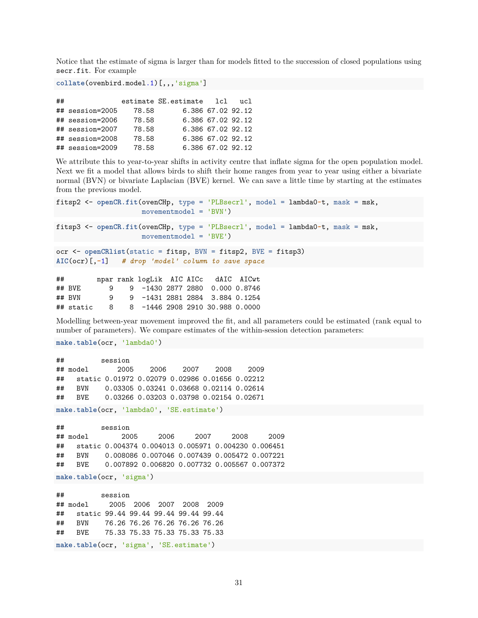Notice that the estimate of sigma is larger than for models fitted to the succession of closed populations using secr.fit. For example

```
collate(ovenbird.model.1)[,,,'sigma']
```

| ## |                 |       | estimate SE.estimate lcl |                   | 11 C L |
|----|-----------------|-------|--------------------------|-------------------|--------|
|    | ## session=2005 | 78.58 |                          | 6.386 67.02 92.12 |        |
|    | ## session=2006 | 78.58 |                          | 6.386 67.02 92.12 |        |
|    | ## session=2007 | 78.58 |                          | 6.386 67.02 92.12 |        |
|    | ## session=2008 | 78.58 |                          | 6.386 67.02 92.12 |        |
|    | ## session=2009 | 78.58 |                          | 6.386 67.02 92.12 |        |

We attribute this to year-to-year shifts in activity centre that inflate sigma for the open population model. Next we fit a model that allows birds to shift their home ranges from year to year using either a bivariate normal (BVN) or bivariate Laplacian (BVE) kernel. We can save a little time by starting at the estimates from the previous model.

```
fitsp2 <- openCR.fit(ovenCHp, type = 'PLBsecrl', model = lambda0~t, mask = msk,
                   movementmodel = 'BVN')
fitsp3 <- openCR.fit(ovenCHp, type = 'PLBsecrl', model = lambda0~t, mask = msk,
                   movementmodel = 'BVE')
ocr <- openCRlist(static = fitsp, BVN = fitsp2, BVE = fitsp3)
AIC(ocr)[,-1] # drop 'model' column to save space
## npar rank logLik AIC AICc dAIC AICwt
## BVE 9 9 -1430 2877 2880 0.000 0.8746
## BVN 9 9 -1431 2881 2884 3.884 0.1254
```
Modelling between-year movement improved the fit, and all parameters could be estimated (rank equal to number of parameters). We compare estimates of the within-session detection parameters:

**make.table**(ocr, 'lambda0')

```
## session
## model 2005 2006 2007 2008 2009
## static 0.01972 0.02079 0.02986 0.01656 0.02212
## BVN 0.03305 0.03241 0.03668 0.02114 0.02614
## BVE 0.03266 0.03203 0.03798 0.02154 0.02671
```
## static 8 8 -1446 2908 2910 30.988 0.0000

**make.table**(ocr, 'lambda0', 'SE.estimate')

## session ## model 2005 2006 2007 2008 2009 ## static 0.004374 0.004013 0.005971 0.004230 0.006451 ## BVN 0.008086 0.007046 0.007439 0.005472 0.007221 ## BVE 0.007892 0.006820 0.007732 0.005567 0.007372

**make.table**(ocr, 'sigma')

## session ## model 2005 2006 2007 2008 2009 ## static 99.44 99.44 99.44 99.44 99.44 ## BVN 76.26 76.26 76.26 76.26 76.26 ## BVE 75.33 75.33 75.33 75.33 75.33 **make.table**(ocr, 'sigma', 'SE.estimate')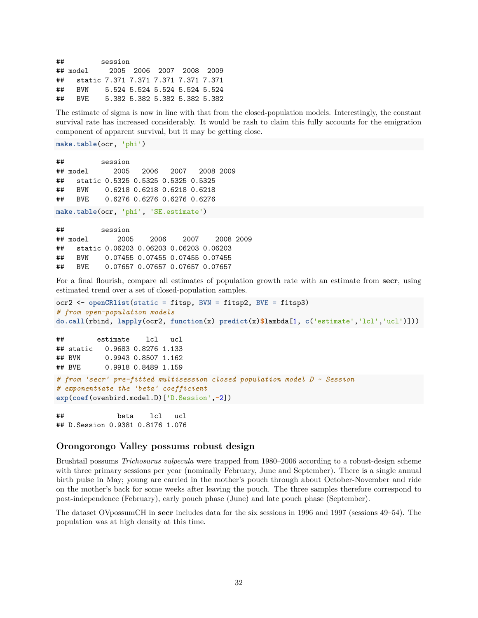| ## |                                         | session |                               |  |  |
|----|-----------------------------------------|---------|-------------------------------|--|--|
|    | ## model 2005 2006 2007 2008 2009       |         |                               |  |  |
|    | ## static 7.371 7.371 7.371 7.371 7.371 |         |                               |  |  |
| ## | BVN 5.524 5.524 5.524 5.524 5.524       |         |                               |  |  |
| ## | BVF.                                    |         | 5.382 5.382 5.382 5.382 5.382 |  |  |

The estimate of sigma is now in line with that from the closed-population models. Interestingly, the constant survival rate has increased considerably. It would be rash to claim this fully accounts for the emigration component of apparent survival, but it may be getting close.

**make.table**(ocr, 'phi')

```
## session
## model 2005 2006 2007 2008 2009
## static 0.5325 0.5325 0.5325 0.5325
## BVN 0.6218 0.6218 0.6218 0.6218
## BVE 0.6276 0.6276 0.6276 0.6276
```
**make.table**(ocr, 'phi', 'SE.estimate')

## session ## model 2005 2006 2007 2008 2009 ## static 0.06203 0.06203 0.06203 0.06203 ## BVN 0.07455 0.07455 0.07455 0.07455 ## BVE 0.07657 0.07657 0.07657 0.07657

For a final flourish, compare all estimates of population growth rate with an estimate from **secr**, using estimated trend over a set of closed-population samples.

```
ocr2 <- openCRlist(static = fitsp, BVN = fitsp2, BVE = fitsp3)
# from open-population models
do.call(rbind, lapply(ocr2, function(x) predict(x)$lambda[1, c('estimate','lcl','ucl')]))
```

```
## estimate lcl ucl
## static 0.9683 0.8276 1.133
## BVN 0.9943 0.8507 1.162
## BVE 0.9918 0.8489 1.159
# from 'secr' pre-fitted multisession closed population model D ~ Session
# exponentiate the 'beta' coefficient
exp(coef(ovenbird.model.D)['D.Session',-2])
```
## beta lcl ucl ## D.Session 0.9381 0.8176 1.076

### <span id="page-31-0"></span>**Orongorongo Valley possums robust design**

Brushtail possums *Trichosurus vulpecula* were trapped from 1980–2006 according to a robust-design scheme with three primary sessions per year (nominally February, June and September). There is a single annual birth pulse in May; young are carried in the mother's pouch through about October-November and ride on the mother's back for some weeks after leaving the pouch. The three samples therefore correspond to post-independence (February), early pouch phase (June) and late pouch phase (September).

The dataset OVpossumCH in **secr** includes data for the six sessions in 1996 and 1997 (sessions 49–54). The population was at high density at this time.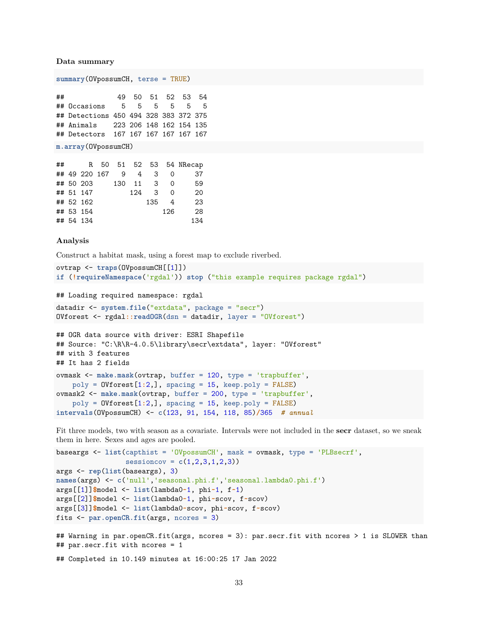**Data summary**

**summary**(OVpossumCH, terse = TRUE)

## 49 50 51 52 53 54 ## Occasions 5 5 5 5 5 5 ## Detections 450 494 328 383 372 375 ## Animals 223 206 148 162 154 135 ## Detectors 167 167 167 167 167 167

**m.array**(OVpossumCH)

| ## |                   |  |          |               |          | R 50 51 52 53 54 NRecap |
|----|-------------------|--|----------|---------------|----------|-------------------------|
|    | ## 49 220 167 9 4 |  |          | 3             | 0        | 37                      |
|    | ## 50 203         |  | 130 11 3 |               | $\Omega$ | 59                      |
|    | ## 51 147         |  |          | $124 \quad 3$ | $\Omega$ | 20                      |
|    | ## 52 162         |  |          | 135           | 4        | 23                      |
|    | ## 53 154         |  |          |               | 126      | 28                      |
|    | ## 54 134         |  |          |               |          | 134                     |

#### **Analysis**

Construct a habitat mask, using a forest map to exclude riverbed.

```
ovtrap <- traps(OVpossumCH[[1]])
if (!requireNamespace('rgdal')) stop ("this example requires package rgdal")
```
## Loading required namespace: rgdal

```
datadir <- system.file("extdata", package = "secr")
OVforest <- rgdal::readOGR(dsn = datadir, layer = "OVforest")
```

```
## OGR data source with driver: ESRI Shapefile
## Source: "C:\R\R-4.0.5\library\secr\extdata", layer: "OVforest"
## with 3 features
## It has 2 fields
ovmask <- make.mask(ovtrap, buffer = 120, type = 'trapbuffer',
   poly = OVforest[1:2,], spacing = 15, keep.poly = FALSE)
ovmask2 <- make.mask(ovtrap, buffer = 200, type = 'trapbuffer',
   poly = OVforest[1:2,], spacing = 15, keep.poly = FALSE)
intervals(OVpossumCH) <- c(123, 91, 154, 118, 85)/365 # annual
```
Fit three models, two with season as a covariate. Intervals were not included in the **secr** dataset, so we sneak them in here. Sexes and ages are pooled.

```
baseargs <- list(capthist = 'OVpossumCH', mask = ovmask, type = 'PLBsecrf',
                 sessioncov = c(1,2,3,1,2,3))
args <- rep(list(baseargs), 3)
names(args) <- c('null','seasonal.phi.f','seasonal.lambda0.phi.f')
args[[1]]$model <- list(lambda0~1, phi~1, f~1)
args[[2]]$model <- list(lambda0~1, phi~scov, f~scov)
args[[3]]$model <- list(lambda0~scov, phi~scov, f~scov)
fits <- par.openCR.fit(args, ncores = 3)
## Warning in par.openCR.fit(args, ncores = 3): par.secr.fit with ncores > 1 is SLOWER than
## par.secr.fit with ncores = 1
## Completed in 10.149 minutes at 16:00:25 17 Jan 2022
```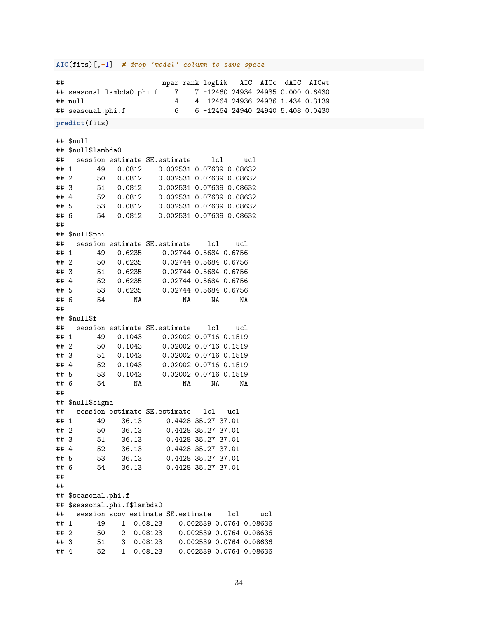### **AIC**(fits)[,**-**1] *# drop 'model' column to save space*

## npar rank logLik AIC AICc dAIC AICwt

```
## seasonal.lambda0.phi.f 7 7 -12460 24934 24935 0.000 0.6430
## null 4 4 -12464 24936 24936 1.434 0.3139
## seasonal.phi.f 6 6 -12464 24940 24940 5.408 0.0430
predict(fits)
## $null
## $null$lambda0
## session estimate SE.estimate lcl ucl
## 1 49 0.0812 0.002531 0.07639 0.08632
## 2 50 0.0812 0.002531 0.07639 0.08632
## 3 51 0.0812 0.002531 0.07639 0.08632
## 4 52 0.0812 0.002531 0.07639 0.08632
## 5 53 0.0812 0.002531 0.07639 0.08632
## 6 54 0.0812 0.002531 0.07639 0.08632
##
## $null$phi
## session estimate SE.estimate lcl ucl
## 1 49 0.6235 0.02744 0.5684 0.6756
## 2 50 0.6235 0.02744 0.5684 0.6756
## 3 51 0.6235 0.02744 0.5684 0.6756
## 4 52 0.6235 0.02744 0.5684 0.6756
## 5 53 0.6235 0.02744 0.5684 0.6756
## 6 54 NA NA NA NA
##
## $null$f
## session estimate SE.estimate lcl ucl
## 1 49 0.1043 0.02002 0.0716 0.1519
## 2 50 0.1043 0.02002 0.0716 0.1519
## 3 51 0.1043 0.02002 0.0716 0.1519
## 4 52 0.1043 0.02002 0.0716 0.1519
## 5 53 0.1043 0.02002 0.0716 0.1519
## 6 54 NA NA NA NA
##
## $null$sigma
## session estimate SE.estimate lcl ucl
## 1 49 36.13 0.4428 35.27 37.01
## 2 50 36.13 0.4428 35.27 37.01
## 3 51 36.13 0.4428 35.27 37.01
## 4 52 36.13 0.4428 35.27 37.01
## 5 53 36.13 0.4428 35.27 37.01
## 6 54 36.13 0.4428 35.27 37.01
##
##
## $seasonal.phi.f
## $seasonal.phi.f$lambda0
## session scov estimate SE.estimate lcl ucl
## 1 49 1 0.08123 0.002539 0.0764 0.08636
## 2 50 2 0.08123 0.002539 0.0764 0.08636
## 3 51 3 0.08123 0.002539 0.0764 0.08636
## 4 52 1 0.08123 0.002539 0.0764 0.08636
```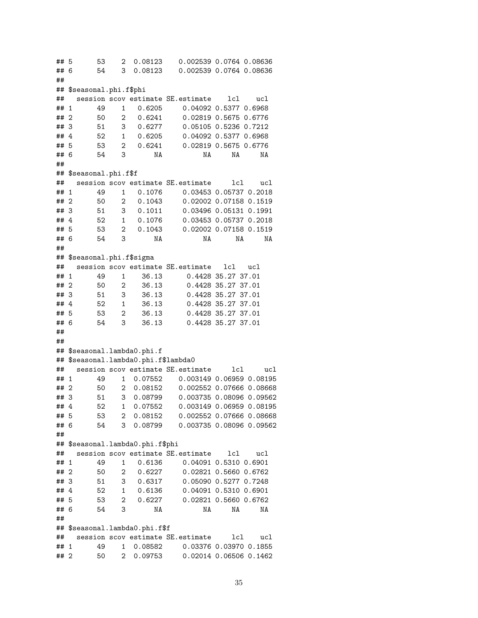## 5 53 2 0.08123 0.002539 0.0764 0.08636 ## 6 54 3 0.08123 0.002539 0.0764 0.08636 ## ## \$seasonal.phi.f\$phi ## session scov estimate SE.estimate lcl ucl ## 1 49 1 0.6205 0.04092 0.5377 0.6968 ## 2 50 2 0.6241 0.02819 0.5675 0.6776 ## 3 51 3 0.6277 0.05105 0.5236 0.7212 ## 4 52 1 0.6205 0.04092 0.5377 0.6968 ## 5 53 2 0.6241 0.02819 0.5675 0.6776 ## 6 54 3 NA NA NA NA ## ## \$seasonal.phi.f\$f ## session scov estimate SE.estimate lcl ucl ## 1 49 1 0.1076 0.03453 0.05737 0.2018 ## 2 50 2 0.1043 0.02002 0.07158 0.1519 ## 3 51 3 0.1011 0.03496 0.05131 0.1991 ## 4 52 1 0.1076 0.03453 0.05737 0.2018 ## 5 53 2 0.1043 0.02002 0.07158 0.1519 ## 6 54 3 NA NA NA NA ## ## \$seasonal.phi.f\$sigma ## session scov estimate SE.estimate lcl ucl ## 1 49 1 36.13 0.4428 35.27 37.01 ## 2 50 2 36.13 0.4428 35.27 37.01 ## 3 51 3 36.13 0.4428 35.27 37.01 ## 4 52 1 36.13 0.4428 35.27 37.01 ## 5 53 2 36.13 0.4428 35.27 37.01 ## 6 54 3 36.13 0.4428 35.27 37.01 ## ## ## \$seasonal.lambda0.phi.f ## \$seasonal.lambda0.phi.f\$lambda0 ## session scov estimate SE.estimate lcl ucl ## 1 49 1 0.07552 0.003149 0.06959 0.08195 ## 2 50 2 0.08152 0.002552 0.07666 0.08668 ## 3 51 3 0.08799 0.003735 0.08096 0.09562 ## 4 52 1 0.07552 0.003149 0.06959 0.08195 ## 5 53 2 0.08152 0.002552 0.07666 0.08668 ## 6 54 3 0.08799 0.003735 0.08096 0.09562 ## ## \$seasonal.lambda0.phi.f\$phi ## session scov estimate SE.estimate lcl ucl ## 1 49 1 0.6136 0.04091 0.5310 0.6901 ## 2 50 2 0.6227 0.02821 0.5660 0.6762 ## 3 51 3 0.6317 0.05090 0.5277 0.7248 ## 4 52 1 0.6136 0.04091 0.5310 0.6901 ## 5 53 2 0.6227 0.02821 0.5660 0.6762 ## 6 54 3 NA NA NA NA ## ## \$seasonal.lambda0.phi.f\$f ## session scov estimate SE.estimate lcl ucl ## 1 49 1 0.08582 0.03376 0.03970 0.1855 ## 2 50 2 0.09753 0.02014 0.06506 0.1462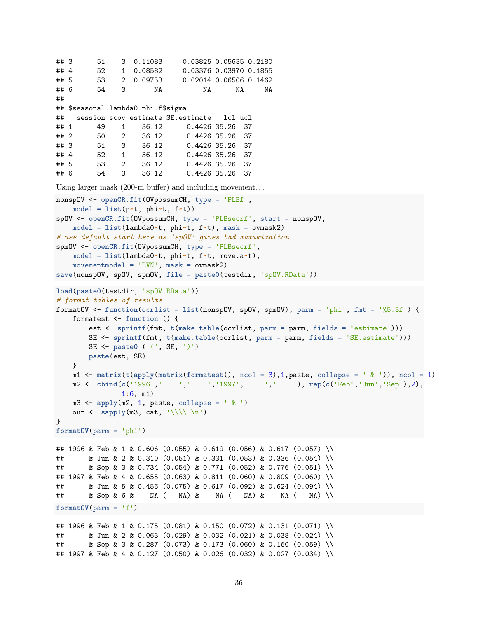```
## 3 51 3 0.11083 0.03825 0.05635 0.2180
## 4 52 1 0.08582 0.03376 0.03970 0.1855
## 5 53 2 0.09753 0.02014 0.06506 0.1462
## 6 54 3 NA NA NA NA
##
## $seasonal.lambda0.phi.f$sigma
## session scov estimate SE.estimate lcl ucl
## 1 49 1 36.12 0.4426 35.26 37
## 2 50 2 36.12 0.4426 35.26 37
## 3 51 3 36.12 0.4426 35.26 37
## 4 52 1 36.12 0.4426 35.26 37
## 5 53 2 36.12 0.4426 35.26 37
## 6 54 3 36.12 0.4426 35.26 37
Using larger mask (200-m buffer) and including movement. . .
nonspOV <- openCR.fit(OVpossumCH, type = 'PLBf',
   model = list(p~t, phi~t, f~t))
spOV <- openCR.fit(OVpossumCH, type = 'PLBsecrf', start = nonspOV,
   model = list(lambda0~t, phi~t, f~t), mask = ovmask2)
# use default start here as 'spOV' gives bad maximization
spmOV <- openCR.fit(OVpossumCH, type = 'PLBsecrf',
   model = list(lambda0~t, phi~t, f~t, move.a~t),
   movementmodel = 'BVN', mask = ovmask2)
save(nonspOV, spOV, spmOV, file = paste0(testdir, 'spOV.RData'))
load(paste0(testdir, 'spOV.RData'))
# format tables of results
formatOV <- function(ocrlist = list(nonspOV, spOV, spmOV), parm = 'phi', fmt = '%5.3f') {
   formatest <- function () {
       est <- sprintf(fmt, t(make.table(ocrlist, parm = parm, fields = 'estimate')))
       SE <- sprintf(fmt, t(make.table(ocrlist, parm = parm, fields = 'SE.estimate')))
       SE <- paste0 ('(', SE, ')')
       paste(est, SE)
   }
   m1 \leq -\text{matrix}(\text{t}(\text{apply}(\text{matrix}(\text{formatest})), \text{ncol} = 3), 1, \text{paste}, \text{collapse} = \frac{1}{2} \cdot \frac{1}{2}), ncol = 1)
   m2 <- cbind(c('1996',' ',' ','1997',' ',' '), rep(c('Feb','Jun','Sep'),2),
               1:6, m1)
   m3 \leq apply(m2, 1, paste, collapse = ' k')
   out <- sapply(m3, cat, '\\\\ \n')
}
formatOV(parm = 'phi')
## 1996 & Feb & 1 & 0.606 (0.055) & 0.619 (0.056) & 0.617 (0.057) \\
## & Jun & 2 & 0.310 (0.051) & 0.331 (0.053) & 0.336 (0.054) \\
## & Sep & 3 & 0.734 (0.054) & 0.771 (0.052) & 0.776 (0.051) \\
## 1997 & Feb & 4 & 0.655 (0.063) & 0.811 (0.060) & 0.809 (0.060) \\
## & Jun & 5 & 0.456 (0.075) & 0.617 (0.092) & 0.624 (0.094) \\
## & Sep & 6 & NA ( NA) & NA ( NA) & NA ( NA) \\
formatOV(parm = 'f')## 1996 & Feb & 1 & 0.175 (0.081) & 0.150 (0.072) & 0.131 (0.071) \\
## & Jun & 2 & 0.063 (0.029) & 0.032 (0.021) & 0.038 (0.024) \\
## & Sep & 3 & 0.287 (0.073) & 0.173 (0.060) & 0.160 (0.059) \\
## 1997 & Feb & 4 & 0.127 (0.050) & 0.026 (0.032) & 0.027 (0.034) \\
```

```
36
```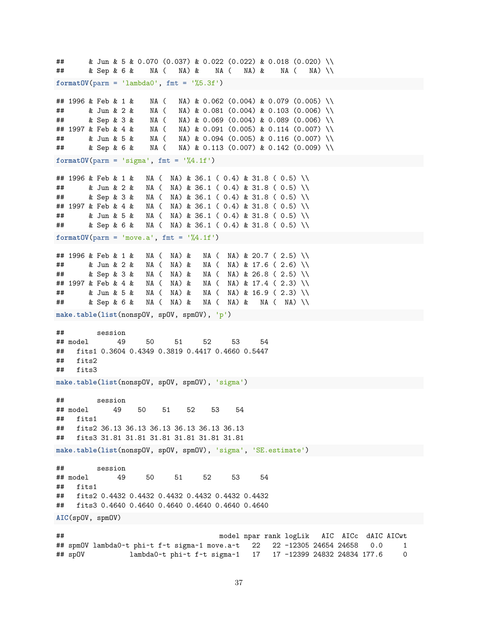## & Jun & 5 & 0.070 (0.037) & 0.022 (0.022) & 0.018 (0.020) \\ ## & Sep & 6 & NA ( NA) & NA ( NA) & NA ( NA) \\  $formatOV(parm = 'lambda0', fmt = '%5.3f')$ ## 1996 & Feb & 1 & NA ( NA) & 0.062 (0.004) & 0.079 (0.005) \\ ## & Jun & 2 & NA ( NA) & 0.081 (0.004) & 0.103 (0.006) \\ ## & Sep & 3 & NA ( NA) & 0.069 (0.004) & 0.089 (0.006) \\ ## 1997 & Feb & 4 & NA ( NA) & 0.091 (0.005) & 0.114 (0.007) \\ ## & Jun & 5 & NA ( NA) & 0.094 (0.005) & 0.116 (0.007) \\ ## & Sep & 6 & NA ( NA) & 0.113 (0.007) & 0.142 (0.009) \\  $formatOV(parm = 'sigma', fmt = '%4.1f')$ ## 1996 & Feb & 1 & NA ( NA) & 36.1 ( 0.4) & 31.8 ( 0.5) \\ ## & Jun & 2 & NA ( NA) & 36.1 ( 0.4) & 31.8 ( 0.5) \\ ## & Sep & 3 & NA ( NA) & 36.1 ( 0.4) & 31.8 ( 0.5) \\ ## 1997 & Feb & 4 & NA ( NA) & 36.1 ( 0.4) & 31.8 ( 0.5) \\ ## & Jun & 5 & NA ( NA) & 36.1 ( 0.4) & 31.8 ( 0.5) \\ ## & Sep & 6 & NA ( NA) & 36.1 ( 0.4) & 31.8 ( 0.5) \\  $formatOV(parm = 'move.a', frt = '%4.1f')$ ## 1996 & Feb & 1 & NA ( NA) & NA ( NA) & 20.7 ( 2.5) \\ ## & Jun & 2 & NA ( NA) & NA ( NA) & 17.6 ( 2.6) \\ ## & Sep & 3 & NA ( NA) & NA ( NA) & 26.8 ( 2.5) \\ ## 1997 & Feb & 4 & NA ( NA) & NA ( NA) & 17.4 ( 2.3) \\ ## & Jun & 5 & NA ( NA) & NA ( NA) & 16.9 ( 2.3) \\ ## & Sep & 6 & NA ( NA) & NA ( NA) & NA ( NA) \\ **make.table**(**list**(nonspOV, spOV, spmOV), 'p') ## session ## model 49 50 51 52 53 54 ## fits1 0.3604 0.4349 0.3819 0.4417 0.4660 0.5447 ## fits2 ## fits3 **make.table**(**list**(nonspOV, spOV, spmOV), 'sigma') ## session ## model 49 50 51 52 53 54 ## fits1 ## fits2 36.13 36.13 36.13 36.13 36.13 36.13 ## fits3 31.81 31.81 31.81 31.81 31.81 31.81 **make.table**(**list**(nonspOV, spOV, spmOV), 'sigma', 'SE.estimate') ## session ## model 49 50 51 52 53 54 ## fits1 ## fits2 0.4432 0.4432 0.4432 0.4432 0.4432 0.4432 ## fits3 0.4640 0.4640 0.4640 0.4640 0.4640 0.4640 **AIC**(spOV, spmOV) ## model npar rank logLik AIC AICc dAIC AICwt ## spmOV lambda0~t phi~t f~t sigma~1 move.a~t 22 22 -12305 24654 24658 0.0 1 ## spOV lambda0~t phi~t f~t sigma~1 17 17 -12399 24832 24834 177.6 0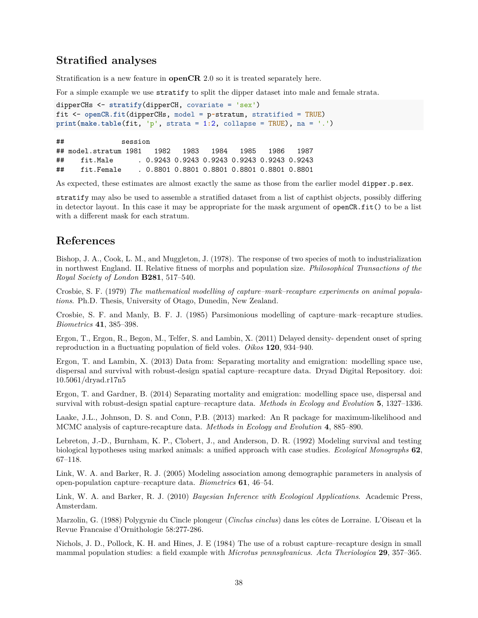## <span id="page-37-0"></span>**Stratified analyses**

Stratification is a new feature in **openCR** 2.0 so it is treated separately here.

For a simple example we use stratify to split the dipper dataset into male and female strata.

```
dipperCHs <- stratify(dipperCH, covariate = 'sex')
fit <- openCR.fit(dipperCHs, model = p~stratum, stratified = TRUE)
print(make.table(fit, 'p', strata = 1:2, collapse = TRUE), na = '.')
```
## session ## model.stratum 1981 1982 1983 1984 1985 1986 1987 ## fit.Male . 0.9243 0.9243 0.9243 0.9243 0.9243 0.9243 ## fit.Female . 0.8801 0.8801 0.8801 0.8801 0.8801 0.8801

As expected, these estimates are almost exactly the same as those from the earlier model dipper.p.sex.

stratify may also be used to assemble a stratified dataset from a list of capthist objects, possibly differing in detector layout. In this case it may be appropriate for the mask argument of openCR.fit() to be a list with a different mask for each stratum.

## <span id="page-37-1"></span>**References**

Bishop, J. A., Cook, L. M., and Muggleton, J. (1978). The response of two species of moth to industrialization in northwest England. II. Relative fitness of morphs and population size. *Philosophical Transactions of the Royal Society of London* **B281**, 517–540.

Crosbie, S. F. (1979) *The mathematical modelling of capture–mark–recapture experiments on animal populations*. Ph.D. Thesis, University of Otago, Dunedin, New Zealand.

Crosbie, S. F. and Manly, B. F. J. (1985) Parsimonious modelling of capture–mark–recapture studies. *Biometrics* **41**, 385–398.

Ergon, T., Ergon, R., Begon, M., Telfer, S. and Lambin, X. (2011) Delayed density- dependent onset of spring reproduction in a fluctuating population of field voles. *Oikos* **120**, 934–940.

Ergon, T. and Lambin, X. (2013) Data from: Separating mortality and emigration: modelling space use, dispersal and survival with robust-design spatial capture–recapture data. Dryad Digital Repository. doi: 10.5061/dryad.r17n5

Ergon, T. and Gardner, B. (2014) Separating mortality and emigration: modelling space use, dispersal and survival with robust-design spatial capture–recapture data. *Methods in Ecology and Evolution* **5**, 1327–1336.

Laake, J.L., Johnson, D. S. and Conn, P.B. (2013) marked: An R package for maximum-likelihood and MCMC analysis of capture-recapture data. *Methods in Ecology and Evolution* **4**, 885–890.

Lebreton, J.-D., Burnham, K. P., Clobert, J., and Anderson, D. R. (1992) Modeling survival and testing biological hypotheses using marked animals: a unified approach with case studies. *Ecological Monographs* **62**, 67–118.

Link, W. A. and Barker, R. J. (2005) Modeling association among demographic parameters in analysis of open-population capture–recapture data. *Biometrics* **61**, 46–54.

Link, W. A. and Barker, R. J. (2010) *Bayesian Inference with Ecological Applications*. Academic Press, Amsterdam.

Marzolin, G. (1988) Polygynie du Cincle plongeur (*Cinclus cinclus*) dans les côtes de Lorraine. L'Oiseau et la Revue Francaise d'Ornithologie 58:277-286.

Nichols, J. D., Pollock, K. H. and Hines, J. E (1984) The use of a robust capture–recapture design in small mammal population studies: a field example with *Microtus pennsylvanicus*. *Acta Theriologica* **29**, 357–365.